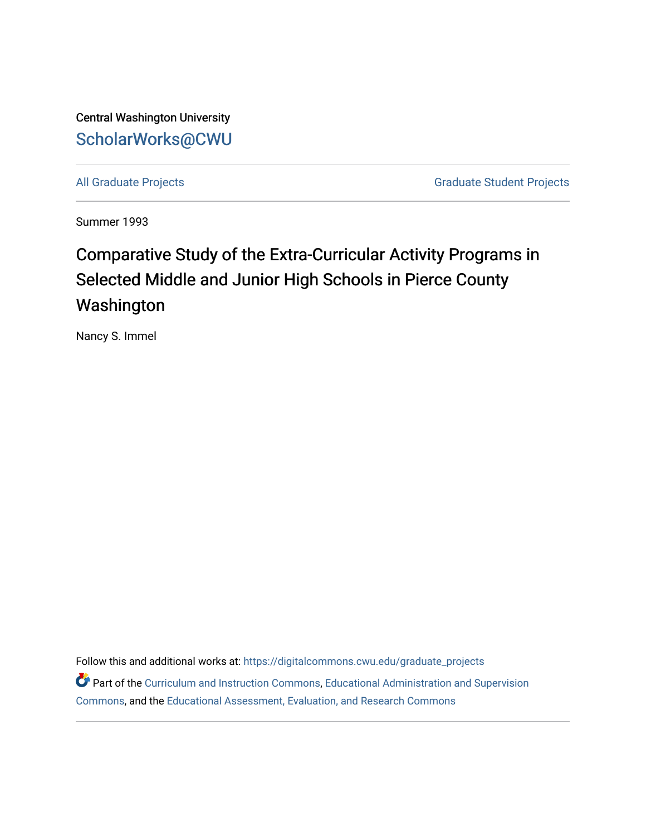Central Washington University [ScholarWorks@CWU](https://digitalcommons.cwu.edu/) 

[All Graduate Projects](https://digitalcommons.cwu.edu/graduate_projects) **Graduate Student Projects** Graduate Student Projects

Summer 1993

# Comparative Study of the Extra-Curricular Activity Programs in Selected Middle and Junior High Schools in Pierce County Washington

Nancy S. Immel

Follow this and additional works at: [https://digitalcommons.cwu.edu/graduate\\_projects](https://digitalcommons.cwu.edu/graduate_projects?utm_source=digitalcommons.cwu.edu%2Fgraduate_projects%2F416&utm_medium=PDF&utm_campaign=PDFCoverPages) Part of the [Curriculum and Instruction Commons,](http://network.bepress.com/hgg/discipline/786?utm_source=digitalcommons.cwu.edu%2Fgraduate_projects%2F416&utm_medium=PDF&utm_campaign=PDFCoverPages) Educational Administration and Supervision [Commons](http://network.bepress.com/hgg/discipline/787?utm_source=digitalcommons.cwu.edu%2Fgraduate_projects%2F416&utm_medium=PDF&utm_campaign=PDFCoverPages), and the [Educational Assessment, Evaluation, and Research Commons](http://network.bepress.com/hgg/discipline/796?utm_source=digitalcommons.cwu.edu%2Fgraduate_projects%2F416&utm_medium=PDF&utm_campaign=PDFCoverPages)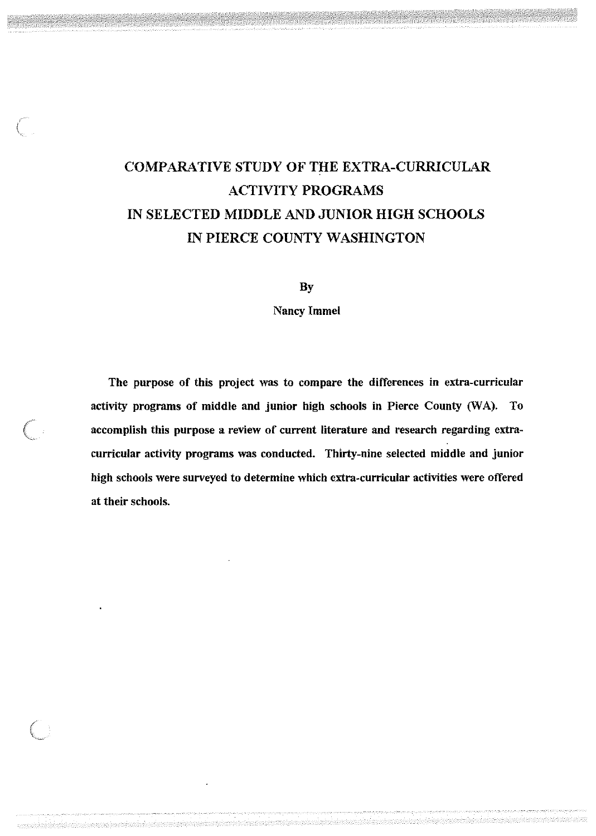# COMPARATIVE STUDY OF THE EXTRA-CURRICULAR ACTIVITY PROGRAMS IN SELECTED MIDDLE AND JUNIOR HIGH SCHOOLS IN PIERCE COUNTY WASHINGTON

l.

By

Nancy Immel

The purpose of this project was to compare the differences in extra-curricular activity programs of middle and junior high schools in Pierce County (WA). To accomplish this purpose a review of current literature and research regarding extracurricular activity programs was conducted. Thirty-nine selected middle and junior high schools were surveyed to determine which extra-curricular activities were offered at their schools.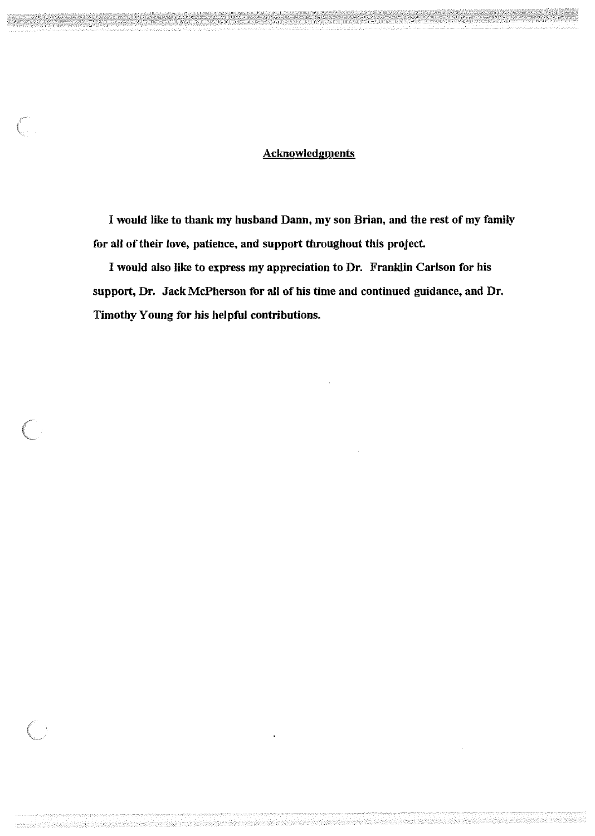## **Acknowledgments**

 $\left(\begin{array}{c} \begin{array}{c} \begin{array}{c} \end{array}\\ \begin{array}{c} \end{array}\\ \begin{array}{c} \end{array}\right) \end{array}$ 

I would like to thank my husband Dann, my son Brian, and the rest of my family for all of their love, patience, and support throughout this project.

I would also like to express my appreciation to Dr. Franklin Carlson for his support, Dr. Jack McPherson for all of his time and continued guidance, and Dr. Timothy Young for his helpful contributions.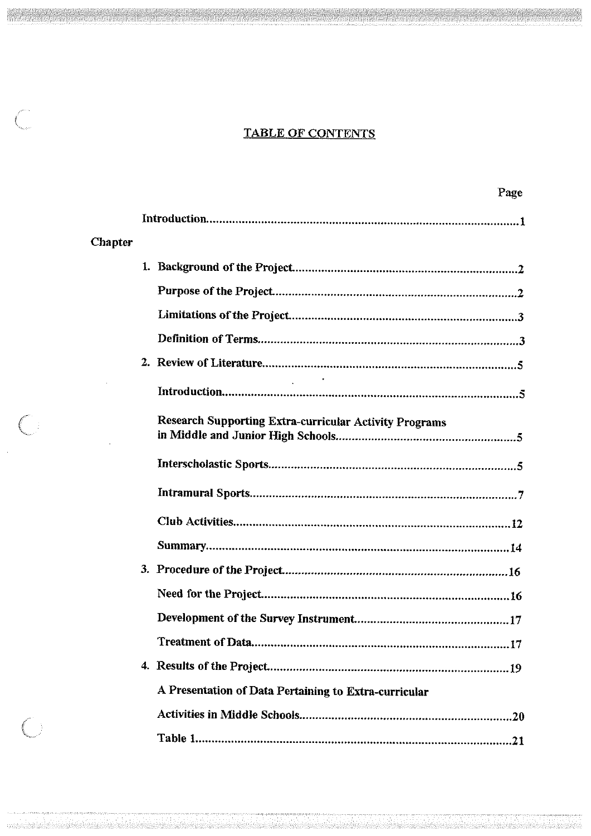## **TABLE OF CONTENTS**

 $\overline{C}$ 

 $\bigcup$ 

 $\bigcup$ 

|         | Page                                                          |
|---------|---------------------------------------------------------------|
|         |                                                               |
| Chapter |                                                               |
|         |                                                               |
|         |                                                               |
|         |                                                               |
|         |                                                               |
|         |                                                               |
|         |                                                               |
|         | <b>Research Supporting Extra-curricular Activity Programs</b> |
|         |                                                               |
|         |                                                               |
|         |                                                               |
|         |                                                               |
|         |                                                               |
|         |                                                               |
|         |                                                               |
|         |                                                               |
|         |                                                               |
|         | A Presentation of Data Pertaining to Extra-curricular         |
|         |                                                               |
|         |                                                               |

a iyo katalog katalog asl nashrida mashrida nashrida nashrida nashrida mashrida mashrida mashrida mashrida nas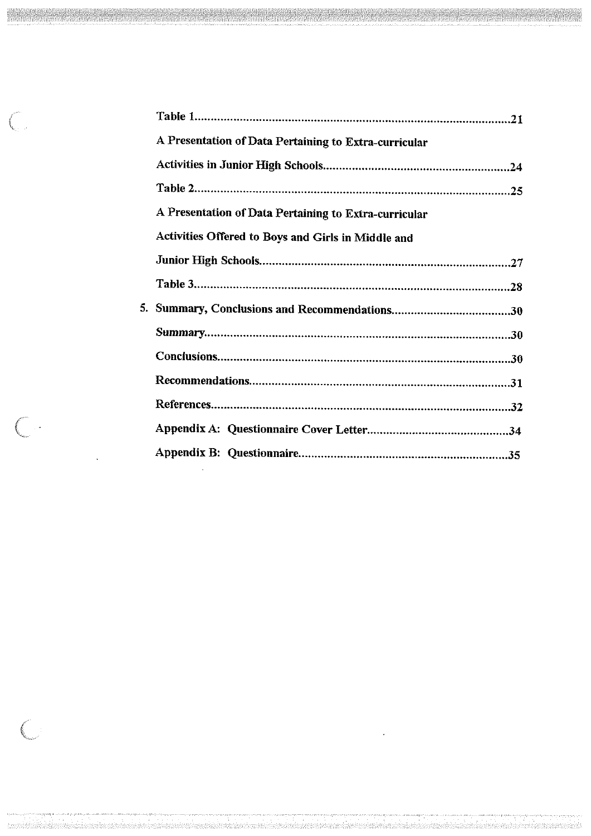| A Presentation of Data Pertaining to Extra-curricular |  |
|-------------------------------------------------------|--|
|                                                       |  |
|                                                       |  |
| A Presentation of Data Pertaining to Extra-curricular |  |
| Activities Offered to Boys and Girls in Middle and    |  |
|                                                       |  |
|                                                       |  |
|                                                       |  |
|                                                       |  |
|                                                       |  |
|                                                       |  |
|                                                       |  |
|                                                       |  |
|                                                       |  |
|                                                       |  |

 $\mathcal{L}(\mathcal{A})$ 

 $\widehat{\zeta}$ 

 $\bigcirc$ 

 $\bigcirc$ 

 $\Delta \sim 10^4$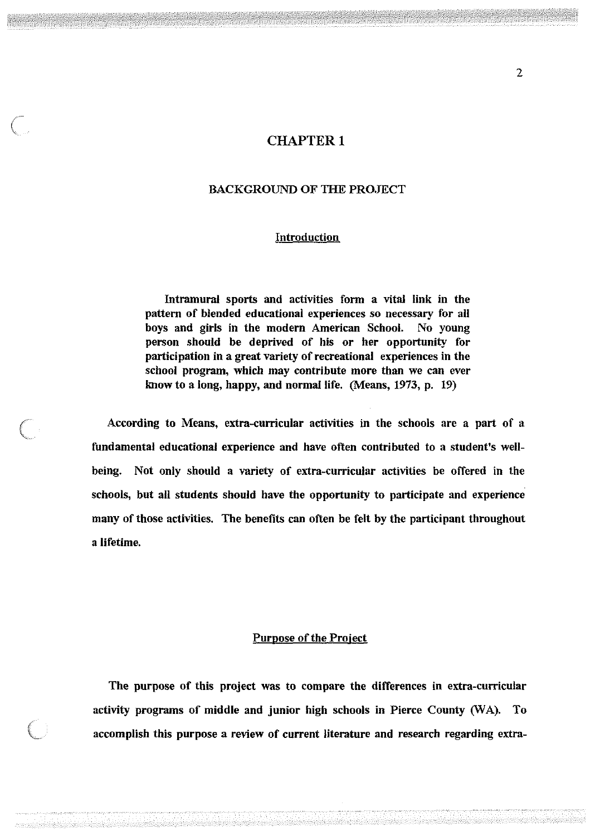## **CHAPTER 1**

## BACKGROUND OF TIIE PROJECT

### Introduction

Intramural sports and activities form a vital link in the pattern of blended educational experiences so necessary for all boys and girls in the modern American School. No young person should be deprived of his or her opportunity for participation in a great variety of recreational experiences in the school program, which may contribute more than we can ever know to a long, happy, and normal life. (Means, 1973, p. 19)

According to Means, extra-curricular activities in the schools are a part of a fundamental educational experience and have often contributed to a student's wellbeing. Not only should a variety of extra-curricular activities be offered in the schools, but all students should have the opportunity to participate and experience many of those activities. The benefits can often be felt by the participant throughout a lifetime.

### Purpose of the Project

The purpose of this project was to compare the differences in extra-curricular activity programs of middle and junior high schools in Pierce County *(WA)*. To accomplish this purpose a review of current literature and research regarding extra-

 $\left( \begin{array}{c} 0 \\ 0 \end{array} \right)$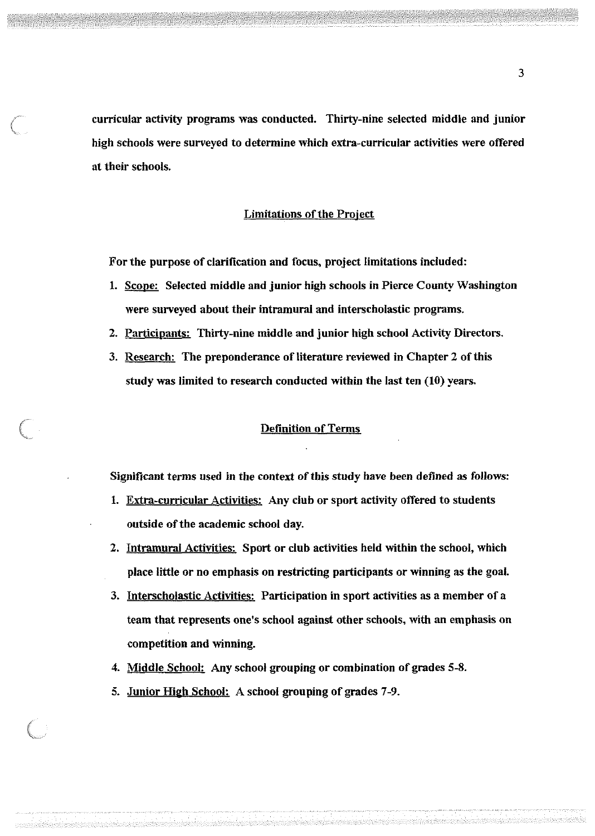curricular activity programs was conducted. Thirty-nine selected middle and junior high schools were surveyed to determine which extra-curricular activities were offered at their schools.

### Limitations of the Project

For the purpose of clarification and focus, project limitations included:

- 1. Scope: Selected middle and junior high schools in Pierce County Washington were surveyed about their intramural and interscholastic programs.
- 2. Participants: Thirty-nine middle and junior high school Activity Directors.
- 3. Research: The preponderance of literature reviewed in Chapter 2 of this study was limited to research conducted within the last ten (10) years.

#### Definition of Terms

Significant terms used in the context of this study have been defined as follows:

- 1. Extra-curricular Activities: Any club or sport activity offered to students outside of the academic school day.
- 2. Intramural Activities: Sport or club activities held within the school, which place little or no emphasis on restricting participants or winning as the goal.
- 3. Interscholastic Activities: Participation in sport activities as a member of a team that represents one's school against other schools, with an emphasis on competition and winning.
- 4. Middle School: Any school grouping or combination of grades 5-8.
- 5. Junior High School: A school grouping of grades 7-9.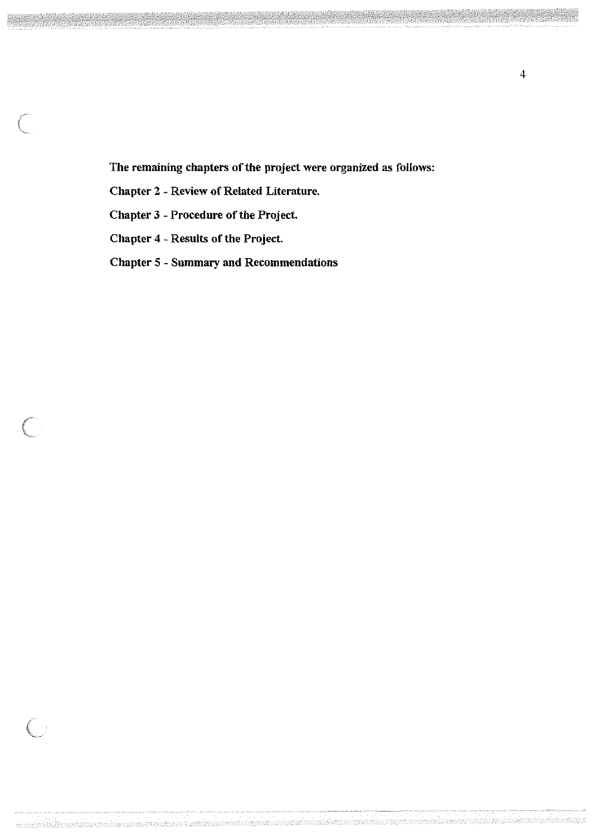The remaining chapters of the project were organized as follows:

Chapter 2 - Review of Related Literature.

Chapter 3 - Procedure of the Project.

Chapter 4 - Results of the Project.

 $\begin{pmatrix} 1 & 1 \\ 1 & 1 \end{pmatrix}$ 

Chapter 5 - Summary and Recommendations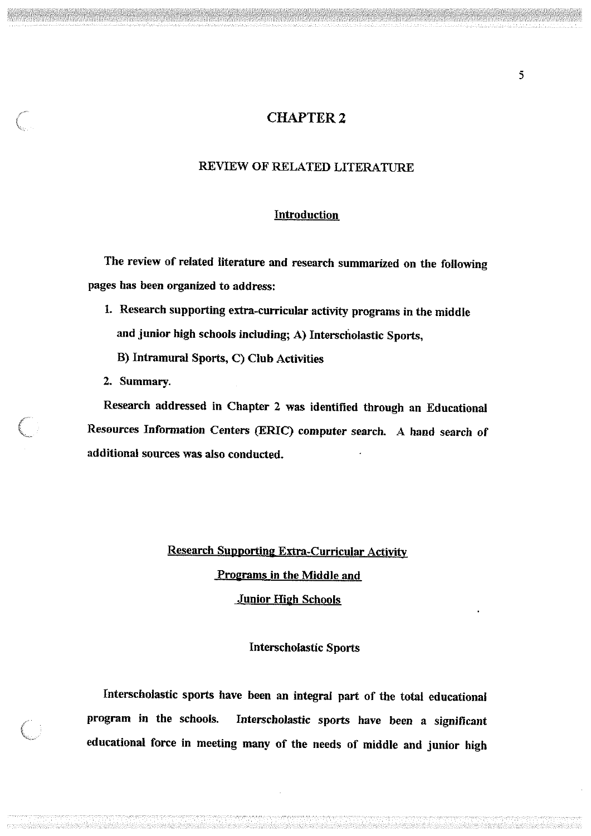## **CHAPTER 2**

## REVIEW OF RELATED LITERATURE

### **Introduction**

The review of related literature and research summarized on the following pages has been organized to address:

- 1. Research supporting extra-curricular activity programs in the middle and junior high schools including; A) Interscholastic Sports,
	- B) Intramural Sports, C) Club Activities
- 2. Summary.

Research addressed in Chapter 2 was identified through an Educational Resources Information Centers (ERIC) computer search. A hand search of additional sources was also conducted.

# Research Supporting Extra-Curricular Activity Programs in the Middle and **Junior High Schools**

### Interscholastic Sports

Interscholastic sports have been an integral part of the total educational program in the schools. Interscholastic sports have been a significant educational force in meeting many of the needs of middle and junior high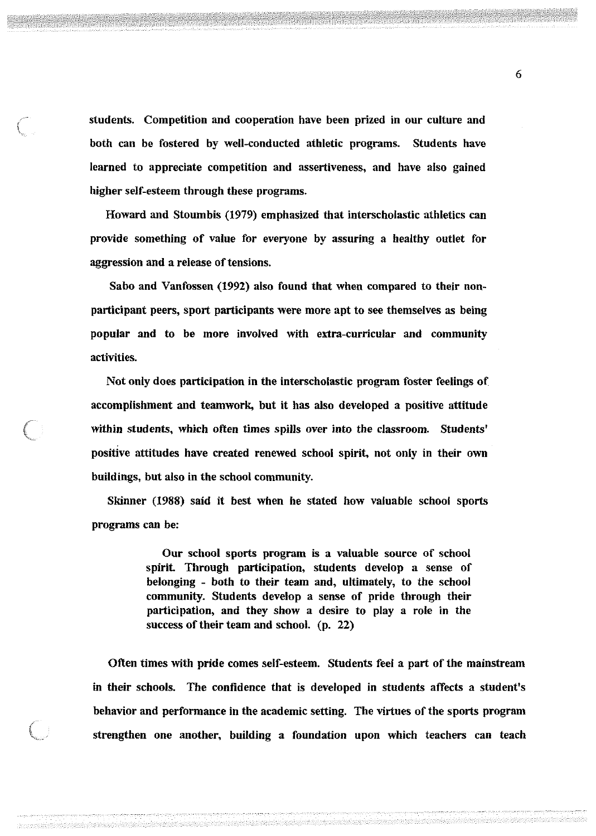students. Competition and cooperation have been prized in our culture and both can be fostered by well-conducted athletic programs. Students have learned to appreciate competition and assertiveness, and have also gained higher self-esteem through these programs.

Howard and Stoumbis (1979) emphasized that interscholastic athletics can provide something of value for everyone by assuring a healthy outlet for aggression and a release of tensions.

Sabo and Vanfossen (1992) also found that when compared to their nonparticipant peers, sport participants were more apt to see themselves as being popular and to be more involved with extra-curricular and community activities.

Not only does participation in the interscholastic program foster feelings of accomplishment and teamwork, but it has also developed a positive attitude within students, which often times spills over into the classroom. Students' positive attitudes have created renewed school spirit, not only in their own buildings, but also in the school community.

Skinner (1988) said it best when he stated how valuable school sports programs can be:

> Our school sports program is a valuable source of school spirit. Through participation, students develop a sense of belonging - both to their team and, ultimately, to the school community. Students develop a sense of pride through their participation, and they show a desire to play a role in the success of their team and school. (p. 22)

Often times with pride comes self-esteem. Students feel a part of the mainstream in their schools. The confidence that is developed in students affects a student's behavior and performance in the academic setting. The virtues of the sports program strengthen one another, building a foundation upon which teachers can teach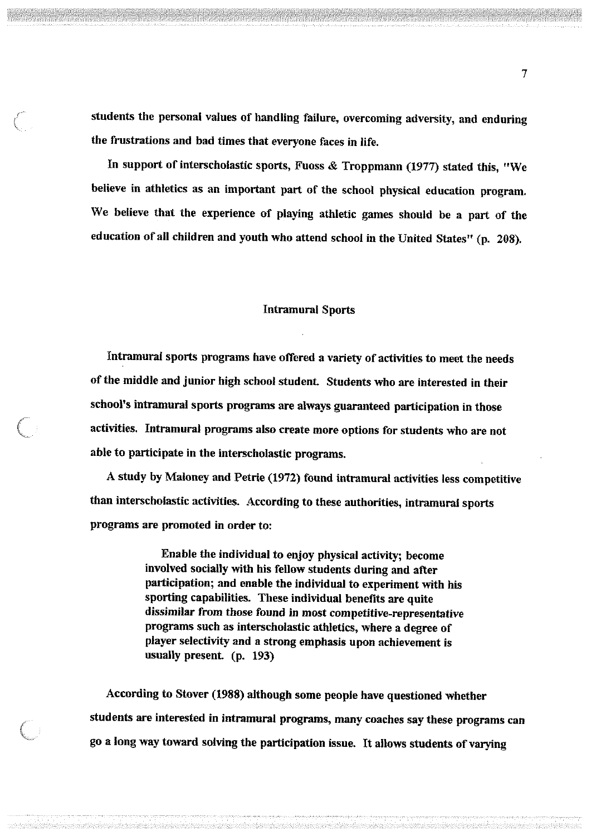students the personal values of handling failure, overcoming adversity, and enduring the frustrations and bad times that everyone faces in life.

In support of interscholastic sports, Fuoss & Troppmann (1977) stated this, "We believe in athletics as an important part of the school physical education program. We believe that the experience of playing athletic games should be a part of the education of all children and youth who attend school in the United States" (p. 208).

#### Intramural Sports

Intramural sports programs have offered a variety of activities to meet the needs of the middle and junior high school student. Students who are interested in their school's intramural sports programs are always guaranteed participation in those activities. Intramural programs also create more options for students who are not able to participate in the interscholastic programs.

A study by Maloney and Petrie (1972) found intramural activities less competitive than interscholastic activities. According to these authorities, intramural sports programs are promoted in order to:

> Enable the individual to enjoy physical activity; become involved socially with his fellow students during and after participation; and enable the individual to experiment with his sporting capabilities. These individual benefits are quite dissimilar from those found in most competitive-representative programs such as interscholastic athletics, where a degree of player selectivity and a strong emphasis upon achievement is usually present. (p. 193)

According to Stover (1988) although some people have questioned whether students are interested in intramural programs, many coaches say these programs can go a long way toward solving the participation issue. It allows students of varying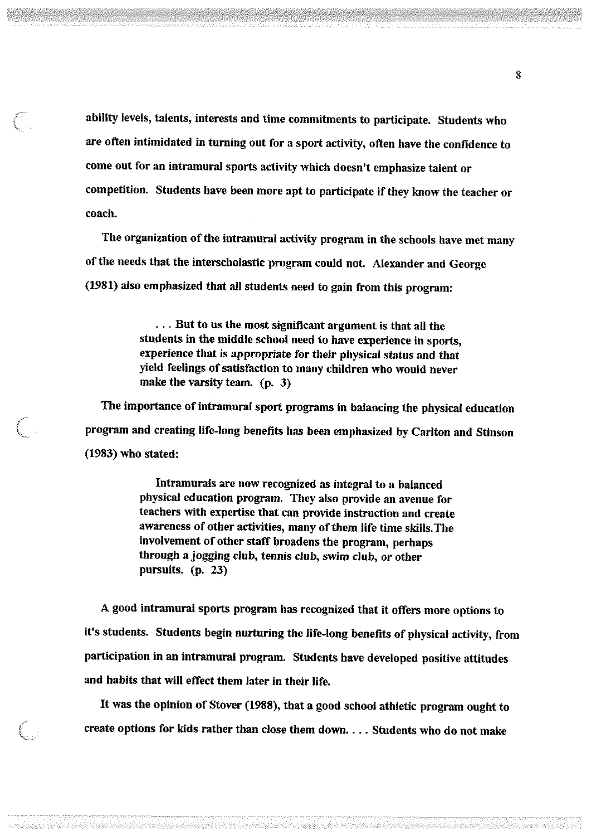ability levels, talents, interests and time commitments to participate. Students who are often intimidated in turning out for a sport activity, often have the confidence to come out for an intramural sports activity which doesn't emphasize talent or competition. Students have been more apt to participate if they know the teacher or coach.

 $\Big($ 

The organization of the intramural activity program in the schools have met many of the needs that the interscholastic program could not. Alexander and George (1981) also emphasized that all students need to gain from this program:

> ... But to us the most significant argument is that all the students in the middle school need to have experience in sports, experience that is appropriate for their physical status and that yield feelings of satisfaction to many children who would never make the varsity team. (p. 3)

The importance of intramural sport programs in balancing the physical education program and creating life-long benefits has been emphasized by Carlton and Stinson (1983) who stated:

> Intramurals are now recognized as integral to a balanced physical education program. They also provide an avenue for teachers with expertise that can provide instruction and create awareness of other activities, many of them life time skills. The involvement of other staff broadens the program, perhaps through a jogging club, tennis club, swim club, or other pursuits. (p. 23)

A good intramural sports program has recognized that it offers more options to it's students. Students begin nurturing the life-long benefits of physical activity, from participation in an intramural program. Students have developed positive attitudes and habits that will effect them later in their life.

It was the opinion of Stover (1988), that a good school athletic program ought to create options for kids rather than close them down .... Students who do not make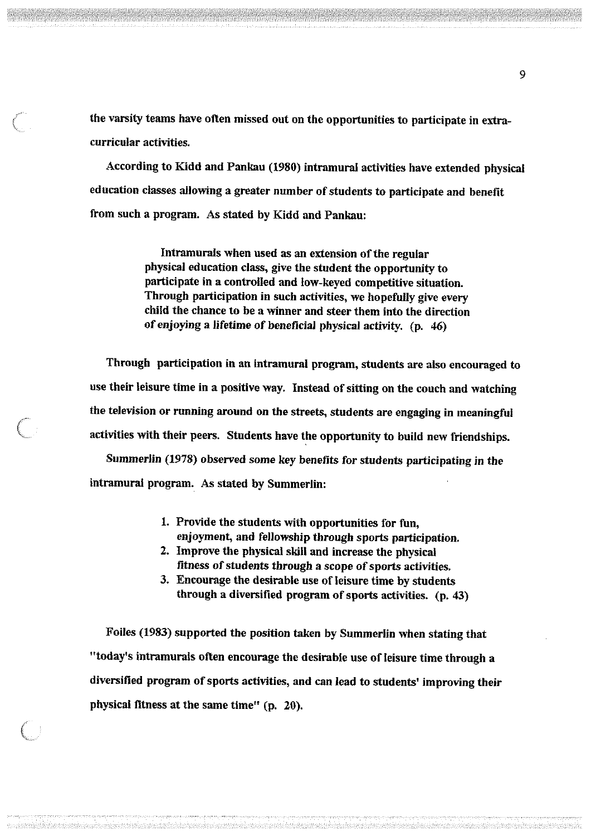the varsity teams have often missed out on the opportunities to participate in extracurricular activities.

According to Kidd and Pankau (1980) intramural activities have extended physical education classes allowing a greater number of students to participate and benefit from such a program. As stated by Kidd and Pankau:

> Intramurals when used as an extension of the regular physical education class, give the student the opportunity to participate in a controlled and low-keyed competitive situation. Through participation in such activities, we hopefully give every child the chance to be a winner and steer them into the direction of enjoying a lifetime of beneficial physical activity. (p. 46)

Through participation in an intramural program, students are also encouraged to use their leisure time in a positive way. Instead of sitting on the couch and watching the television or running around on the streets, students are engaging in meaningful activities with their peers. Students have the opportunity to build new friendships.

Summerlin (1978) observed some key benefits for students participating in the intramural program. As stated by Summerlin:

- 1. Provide the students with opportunities for fun, enjoyment, and fellowship through sports participation.
- 2. Improve the physical skill and increase the physical fitness of students through a scope of sports activities.
- 3. Encourage the desirable use of leisure time by students through a diversified program of sports activities. (p. 43)

Foiles (1983) supported the position taken by Summerlin when stating that "today's intramurals often encourage the desirable use of leisure time through a diversified program of sports activities, and can lead to students' improving their physical fitness at the same time" (p. 20).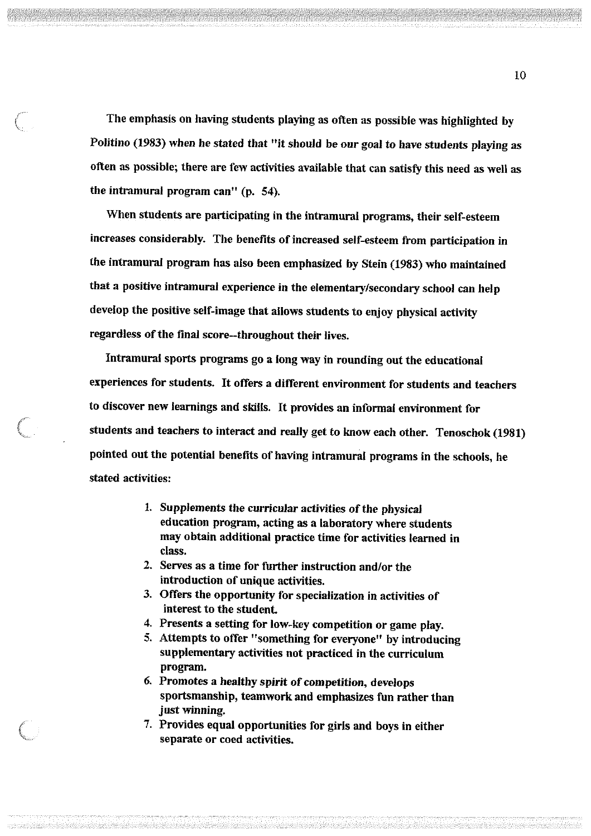The emphasis on having students playing as often as possible was highlighted by Politino (1983) when he stated that "it should be our goal to have students playing as often as possible; there are few activities available that can satisfy this need as well as the intramural program can" (p. 54).

When students are participating in the intramural programs, their self-esteem increases considerably. The benefits of increased self-esteem from participation in the intramural program has also been emphasized by Stein (1983) who maintained that a positive intramural experience in the elementary/secondary school can help develop the positive self-image that allows students to enjoy physical activity regardless of the final score--throughout their lives.

Intramural sports programs go a long way in rounding out the educational experiences for students. It offers a different environment for students and teachers to discover new learnings and skills. It provides an informal environment for students and teachers to interact and really get to know each other. Tenoschok (1981) pointed out the potential benefits of having intramural programs in the schools, he stated activities:

- 1. Supplements the curricular activities of the physical education program, acting as a laboratory where students may obtain additional practice time for activities learned in class.
- 2. Serves as a time for further instruction and/or the introduction of unique activities.
- 3. Offers the opportunity for specialization in activities of interest to the student.
- 4. Presents a setting for low-key competition or game play.
- 5. Attempts to offer "something for everyone" by introducing supplementary activities not practiced in the curriculum program.
- 6. Promotes a healthy spirit of competition, develops sportsmanship, teamwork and emphasizes fun rather than just winning.
- 7. Provides equal opportunities for girls and boys in either separate or coed activities.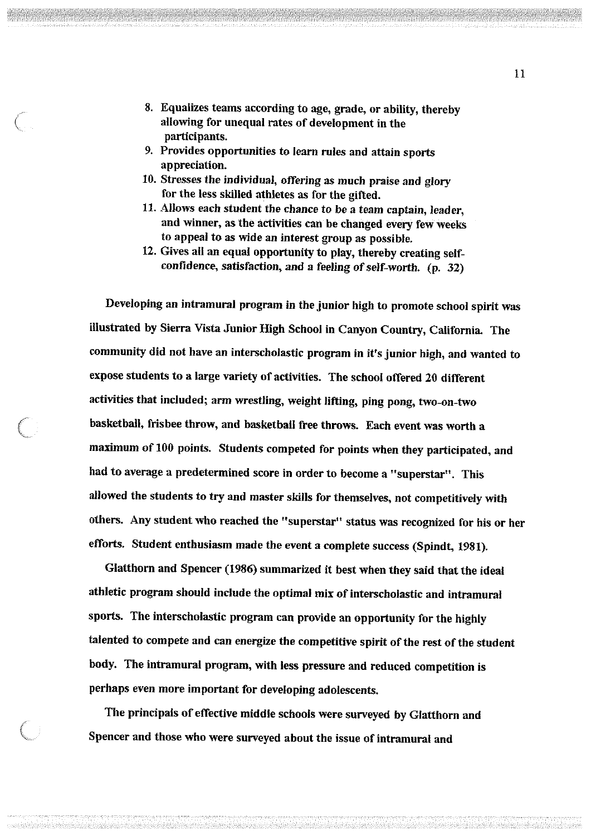- 8. Equalizes teams according to age, grade, or ability, thereby allowing for unequal rates of development in the participants.
- 9. Provides opportunities to learn rules and attain sports appreciation.
- 10. Stresses the individual, offering as much praise and glory for the less skilled athletes as for the gifted.
- 11. Allows each student the chance to be a team captain, leader, and winner, as the activities can be changed every few weeks to appeal to as wide an interest group as possible.
- 12. Gives all an equal opportunity to play, thereby creating selfconfidence, satisfaction, and a feeling of self-worth. (p. 32)

Developing an intramural program in the junior high to promote school spirit was illustrated by Sierra Vista Junior High School in Canyon Country, California. The community did not have an interscholastic program in it's junior high, and wanted to expose students to a large variety of activities. The school offered 20 different activities that included; arm wrestling, weight lifting, ping pong, two-on-two basketball, frisbee throw, and basketball free throws. Each event was worth a maximum of 100 points. Students competed for points when they participated, and had to average a predetermined score in order to become a "superstar". This allowed the students to try and master skills for themselves, not competitively with others. Any student who reached the "superstar" status was recognized for his or her efforts. Student enthusiasm made the event a complete success (Spindt, 1981).

Glatthorn and Spencer (1986) summarized it best when they said that the ideal athletic program should include the optimal mix of interscholastic and intramural sports. The interscholastic program can provide an opportunity for the highly talented to compete and can energize the competitive spirit of the rest of the student body. The intramural program, with less pressure and reduced competition is perhaps even more important for developing adolescents.

The principals of effective middle schools were surveyed by Glatthorn and Spencer and those who were surveyed about the issue of intramural and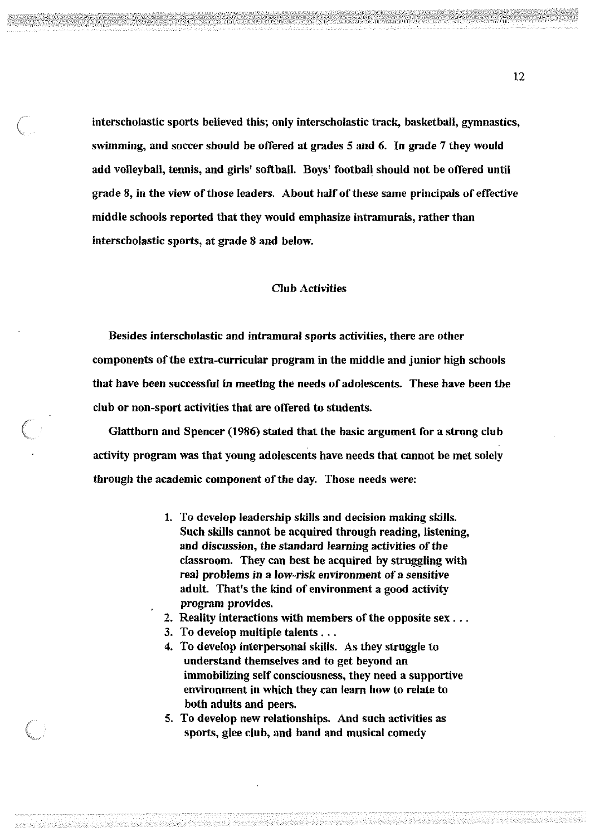interscholastic sports believed this; only interscholastic track, basketball, gymnastics, swimming, and soccer should be offered at grades 5 and 6. In grade 7 they would add volleyball, tennis, and girls' softball. Boys' football should not be offered until grade 8, in the view of those leaders. About half of these same principals of effective middle schools reported that they would emphasize intramurals, rather than interscholastic sports, at grade 8 and below.

### Club Activities

Besides interscholastic and intramural sports activities, there are other components of the extra-curricular program in the middle and junior high schools that have been successful in meeting the needs of adolescents. These have been the club or non-sport activities that are offered to students.

Glatthorn and Spencer (1986) stated that the basic argument for a strong club activity program was that young adolescents have needs that cannot be met solely through the academic component of the day. Those needs were:

- 1. To develop leadership skills and decision making skills. Such skills cannot be acquired through reading, listening, and discussion, the standard learning activities of the classroom. They can best be acquired by struggling with real problems in a low-risk environment of a sensitive adult. That's the kind of environment a good activity program provides.
- 2. Reality interactions with members of the opposite sex ...
- 3. To develop multiple talents ...
- 4. To develop interpersonal skills. As they struggle to understand themselves and to get beyond an immobilizing self consciousness, they need a supportive environment in which they can learn how to relate to both adults and peers.
- 5. To develop new relationships. And such activities as sports, glee club, and band and musical comedy

12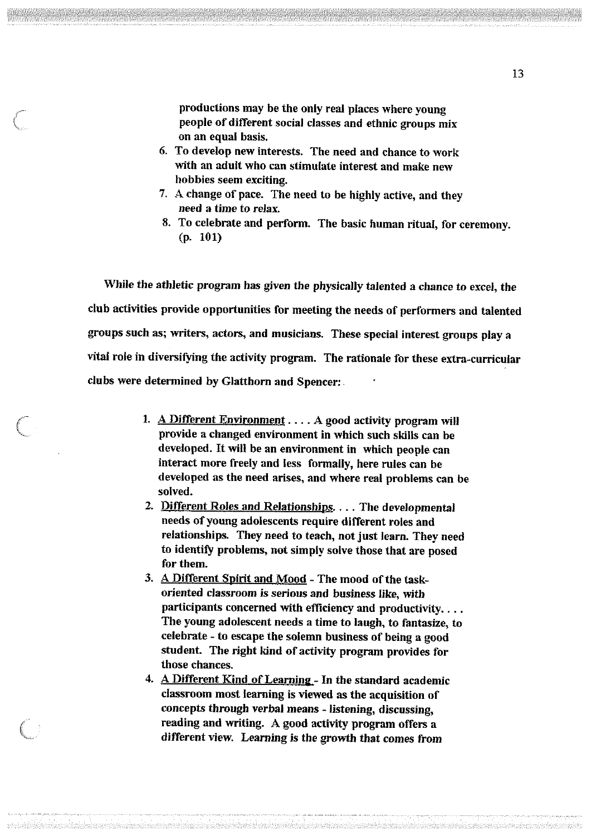productions may be the only real places where young people of different social classes and ethnic groups mix on an equal basis.

- 6. To develop new interests. The need and chance to work with an adult who can stimulate interest and make new hobbies seem exciting.
- 7. A change of pace. The need to be highly active, and they need a time to relax.
- 8. To celebrate and perform. The basic human ritual, for ceremony. (p. 101)

While the athletic program has given the physically talented a chance to excel, the club activities provide opportunities for meeting the needs of performers and talented groups such as; writers, actors, and musicians. These special interest groups play a vital role in diversifying the activity program. The rationale for these extra-curricular clubs were determined by Glatthorn and Spencer:.

- 1. A Different Environment  $\dots$  A good activity program will provide a changed environment in which such skills can be developed. It will be an environment in which people can interact more freely and less formally, here rules can be developed as the need arises, and where real problems can be solved.
- 2. Different Roles and Relationships. . . . The developmental needs of young adolescents require different roles and relationships. They need to teach, not just learn. They need to identify problems, not simply solve those that are posed for them.
- 3. A Different Spirit and Mood The mood of the taskoriented classroom is serious and business like, with participants concerned with efficiency and productivity.... The young adolescent needs a time to laugh, to fantasize, to celebrate - to escape the solemn business of being a good student. The right kind of activity program provides for those chances.
- 4. A Different Kind of Learning In the standard academic classroom most learning is viewed as the acquisition of concepts through verbal means - listening, discussing, reading and writing. A good activity program offers a different view. Learning is the growth that comes from

<u>habanim</u>ehendereksydemongrippid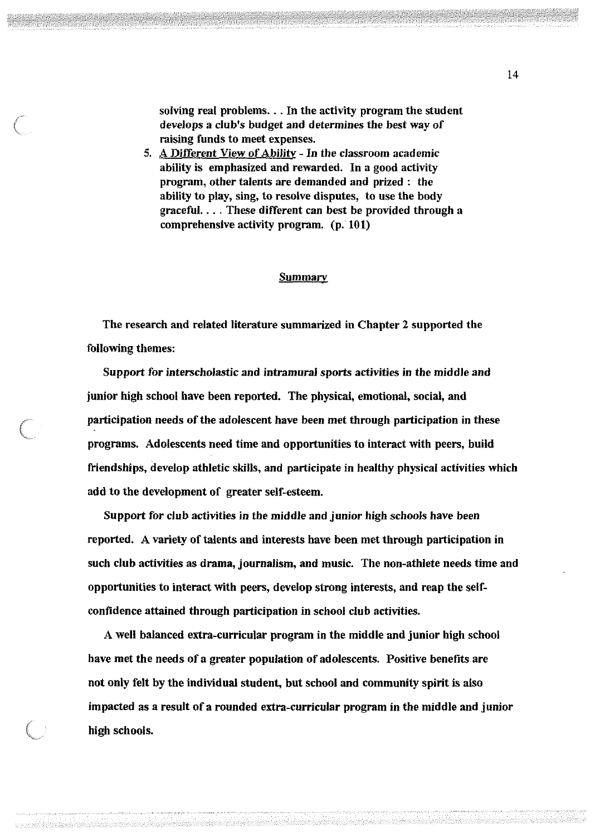solving real problems. . . In the activity program the student develops a club's budget and determines the best way of raising funds to meet expenses.

5. A Different View of Ability - In the classroom academic ability is emphasized and rewarded. In a good activity program, other talents are demanded and prized : the ability to play, sing, to resolve disputes, to use the body graceful.... These different can best be provided through a comprehensive activity program. (p. 101)

#### **Summary**

The research and related literature summarized in Chapter 2 supported the following themes:

Support for interscholastic and intramural sports activities in the middle and junior high school have been reported. The physical, emotional, social, and participation needs of the adolescent have been met through participation in these programs. Adolescents need time and opportunities to interact with peers, build friendships, develop athletic skills, and participate in healthy physical activities which add to the development of greater self-esteem.

Support for club activities in the middle and junior high schools have been reported. A variety of talents and interests have been met through participation in such club activities as drama, journalism, and music. The non-athlete needs time and opportunities to interact with peers, develop strong interests, and reap the selfconfidence attained through participation in school club activities.

A well balanced extra-curricular program in the middle and junior high school have met the needs of a greater population of adolescents. Positive benefits are not only felt by the individual student, but school and community spirit is also impacted as a result of a rounded extra-curricular program in the middle and junior high schools.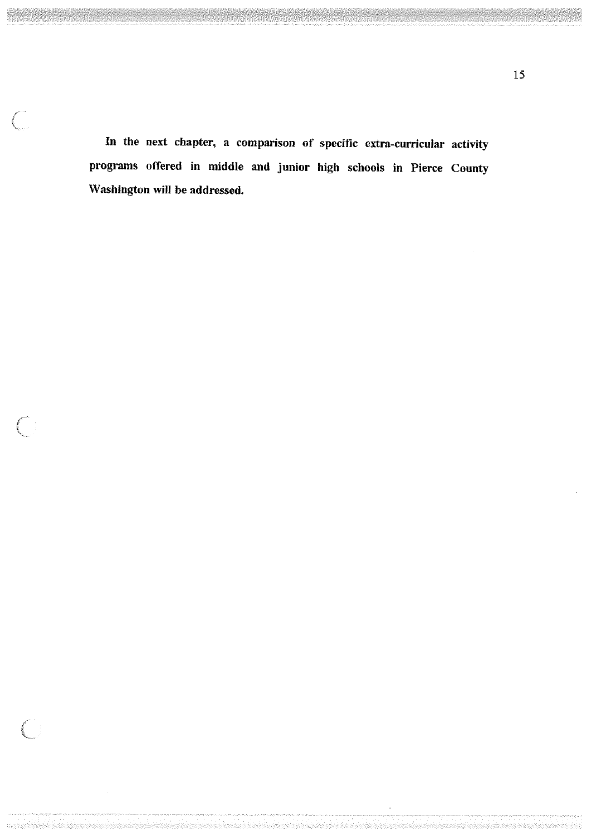In the next chapter, a comparison of specific extra-curricular activity programs offered in middle and junior high schools in Pierce County Washington will be addressed.

kapatan di terbagai penganjukan pelajaran penganjukan kepatan pengalan penganjukan kepatan di penganjukan pen

 $\begin{pmatrix} 1 & 1 \\ 1 & 1 \end{pmatrix}$ 

 $\left($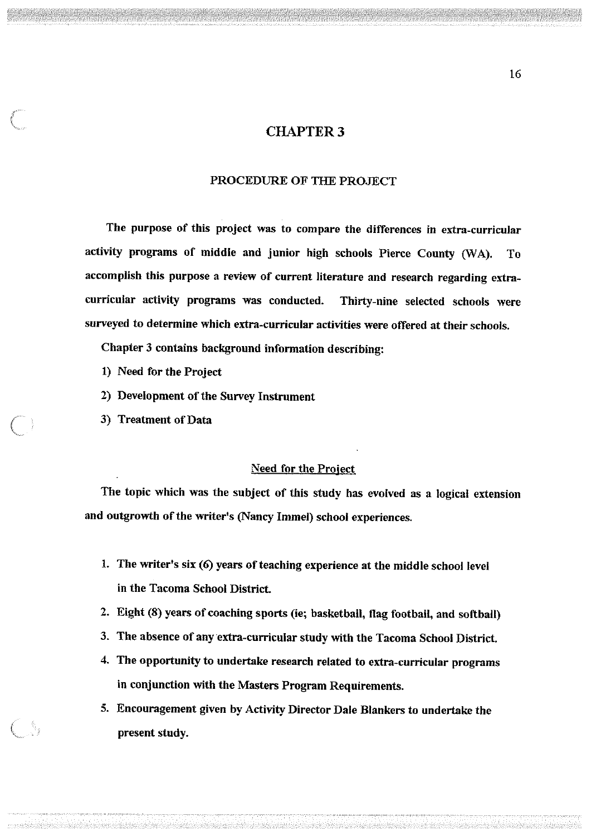## **CHAPTER 3**

#### PROCEDURE OF THE PRO.JECT

The purpose of this project was to compare the differences in extra-curricular activity programs of middle and junior high schools Pierce County (WA). To accomplish this purpose a review of current literature and research regarding extracurricular activity programs was conducted. Thirty-nine selected schools were surveyed to determine which extra-curricular activities were offered at their schools.

Chapter 3 contains background information describing:

- 1) Need for the Project
- 2) Development of the Survey Instrument
- 3) Treatment of Data

#### Need for the Project

The topic which was the subject of this study has evolved as a logical extension and outgrowth of the writer's (Nancy Immel) school experiences.

- 1. The writer's six (6) years of teaching experience at the middle school level in the Tacoma School District.
- 2. Eight (8) years of coaching sports (ie; basketball, flag football, and softball)
- 3. The absence of any extra-curricular study with the Tacoma School District.
- 4. The opportunity to undertake research related to extra-curricular programs in conjunction with the Masters Program Requirements.
- 5. Encouragement given by Activity Director Dale Blankers to undertake the present study.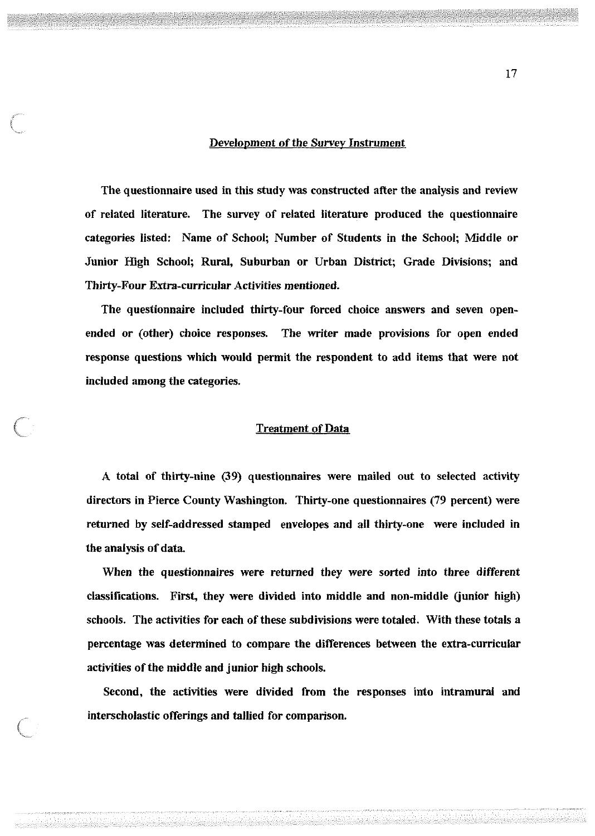#### Development of the Survey Instrument

The questionnaire used in this study was constructed after the analysis and review of related literature. The survey of related literature produced the questionnaire categories listed: Name of School; Number of Students in the School; Middle or Junior High School; Rural, Suburban or Urban District; Grade Divisions; and Thirty-Four Extra-curricular Activities mentioned.

The questionnaire included thirty-four forced choice answers and seven openended or (other) choice responses. The writer made provisions for open ended response questions which would permit the respondent to add items that were not included among the categories.

### Treatment of Data

A total of thirty-nine (39) questionnaires were mailed out to selected activity directors in Pierce County Washington. Thirty-one questionnaires (79 percent) were returned by self-addressed stamped envelopes and all thirty-one were included in the analysis of data.

When the questionnaires were returned they were sorted into three different classifications. First, they were divided into middle and non-middle (junior high) schools. The activities for each of these subdivisions were totaled. With these totals a percentage was determined to compare the differences between the extra-curricular activities of the middle and junior high schools.

Second, the activities were divided from the responses into intramural and interscholastic offerings and tallied for comparison.

17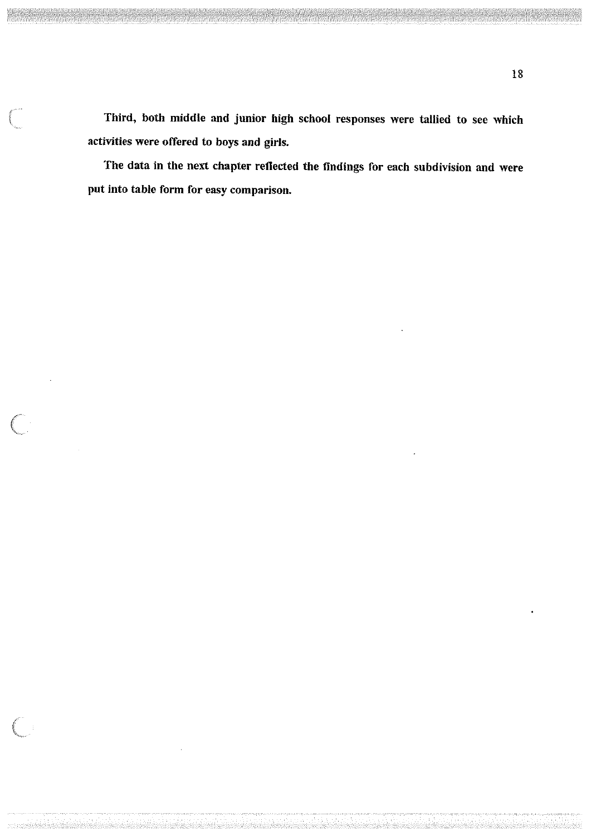Third, both middle and junior high school responses were tallied to see which activities were offered to boys and girls.

The data in the next chapter reflected the findings for each subdivision and were put into table form for easy comparison.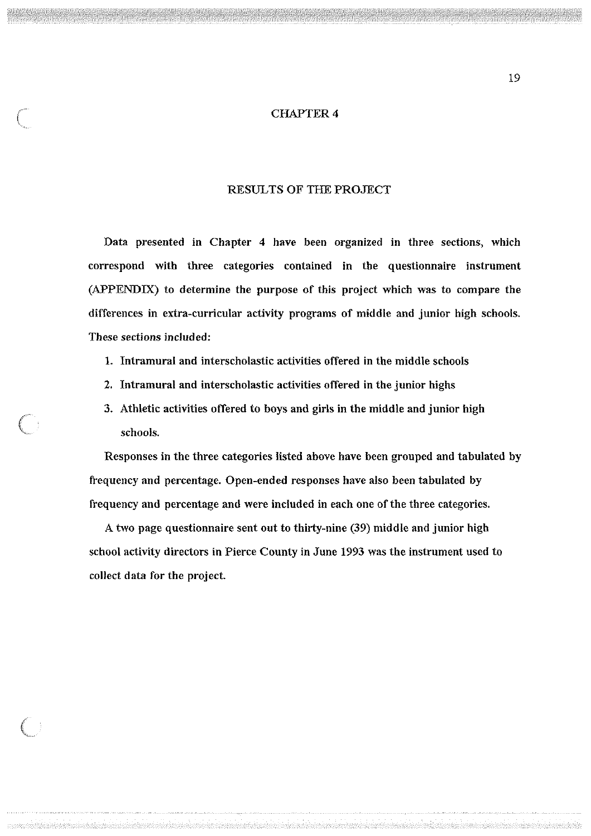#### CHAPTER 4

## RESULTS OF THE PROJECT

Data presented in Chapter 4 have been organized in three sections, which correspond with three categories contained in the questionnaire instrument (APPENDIX) to determine the purpose of this project which was to compare the differences in extra-curricular activity programs of middle and junior high schools. These sections included:

- 1. Intramural and interscholastic activities offered in the middle schools
- 2. Intramural and interscholastic activities offered in the junior highs
- 3. Athletic activities offered to boys and girls in the middle and junior high schools.

Responses in the three categories listed above have been grouped and tabulated by frequency and percentage. Open-ended responses have also been tabulated by frequency and percentage and were included in each one of the three categories.

A two page questionnaire sent out to thirty-nine (39) middle and junior high school activity directors in Pierce County in June 1993 was the instrument used to collect data for the project.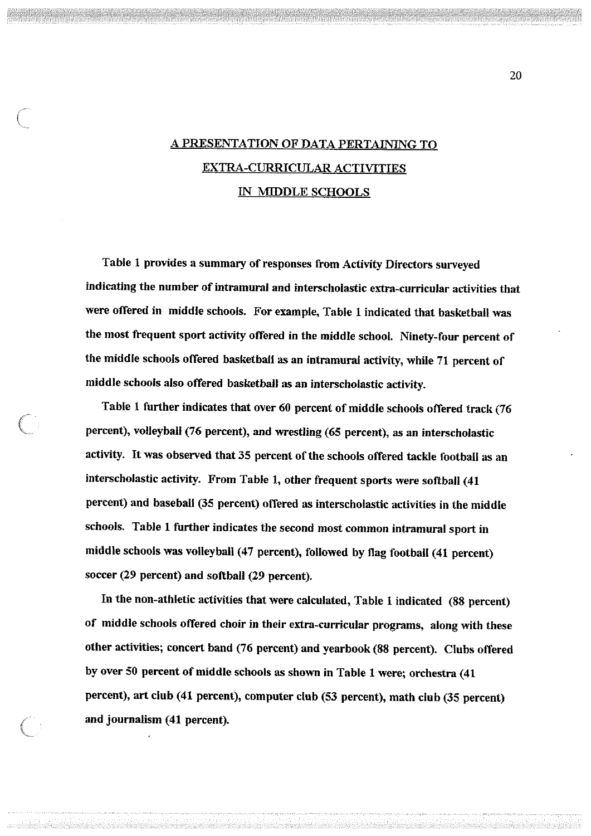## A PRESENTATION OF DATA PERTAINING TO EXTRA-CURRICULAR ACTIVITIES IN MIDDLE SCHOOLS

Table 1 provides a summary of responses from Activity Directors surveyed indicating the number of intramural and interscholastic extra-curricular activities that were offered in middle schools. For example, Table 1 indicated that basketball was the most frequent sport activity offered in the middle school. Ninety-four percent of the middle schools offered basketball as an intramural activity, while 71 percent of middle schools also offered basketball as an interscholastic activity.

Table 1 further indicates that over 60 percent of middle schools offered track (76 percent), volleyball (76 percent), and wrestling (65 percent), as an interscholastic activity. It was observed that 35 percent of the schools offered tackle football as an interscholastic activity. From Table 1, other frequent sports were softball (41 percent) and baseball (35 percent) offered as interscholastic activities in the middle schools. Table l further indicates the second most common intramural sport in middle schools was volleyball (47 percent), followed by flag football (41 percent) soccer (29 percent) and softball (29 percent).

In the non-athletic activities that were calculated, Table 1 indicated (88 percent) of middle schools offered choir in their extra-curricular programs, along with these other activities; concert band (76 percent) and yearbook (88 percent). Clubs offered by over 50 percent of middle schools as shown in Table l were; orchestra (41 percent), art club (41 percent), computer club (53 percent), math club (35 percent) and journalism (41 percent).

20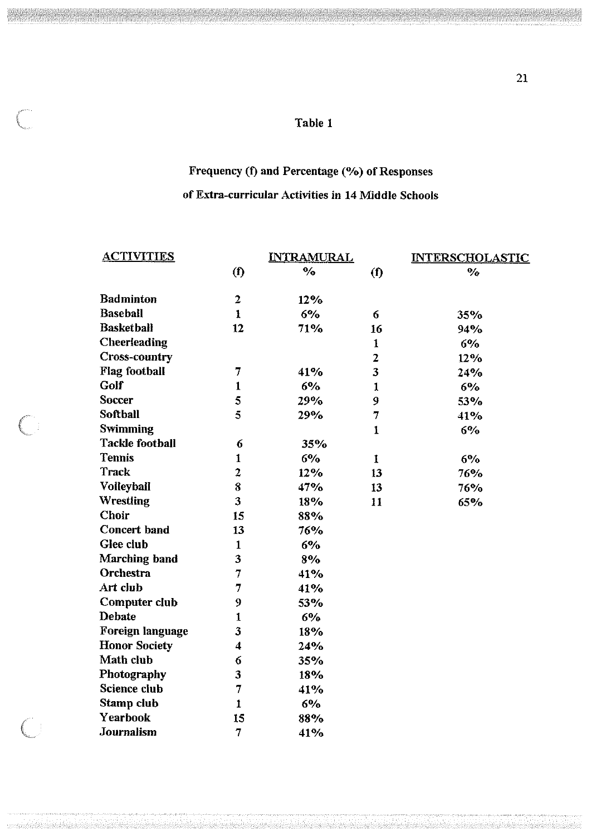## Table 1

entri.<br>.

 $\subset$ 

 $\left( \begin{array}{c} 0 \\ 0 \end{array} \right)$ 

### Frequency (f) and Percentage (%) of Responses

## of Extra-curricular Activities in 14 Middle Schools

| <u>ACTIVITIES</u>      | <b>INTRAMURAL</b>       |                    |                | <b>INTERSCHOLASTIC</b> |  |
|------------------------|-------------------------|--------------------|----------------|------------------------|--|
|                        | (f)                     | $\frac{0}{\alpha}$ | (f)            | $\frac{0}{c}$          |  |
| <b>Badminton</b>       | $\overline{\mathbf{2}}$ | 12%                |                |                        |  |
| <b>Baseball</b>        | $\mathbf{1}$            | 6%                 | 6              | 35%                    |  |
| <b>Basketball</b>      | 12                      | 71%                | 16             | 94%                    |  |
| Cheerleading           |                         |                    | $\mathbf{1}$   | 6%                     |  |
| <b>Cross-country</b>   |                         |                    | $\overline{2}$ | 12%                    |  |
| <b>Flag football</b>   | 7                       | 41%                | 3              | 24%                    |  |
| Golf                   | $\mathbf{1}$            | 6%                 | $\mathbf{1}$   | 6%                     |  |
| <b>Soccer</b>          | 5                       | 29%                | 9              | 53%                    |  |
| Softball               | 5                       | 29%                | 7              | 41%                    |  |
| <b>Swimming</b>        |                         |                    | $\mathbf{1}$   | 6%                     |  |
| <b>Tackle football</b> | 6                       | 35%                |                |                        |  |
| <b>Tennis</b>          | $\mathbf{1}$            | 6%                 | $\mathbf{I}$   | 6%                     |  |
| Track                  | $\overline{2}$          | 12%                | 13             | 76%                    |  |
| Volleyball             | 8                       | 47%                | 13             | 76%                    |  |
| Wrestling              | 3                       | 18%                | 11             | 65%                    |  |
| Choir                  | 15                      | 88%                |                |                        |  |
| <b>Concert band</b>    | 13                      | 76%                |                |                        |  |
| Glee club              | $\mathbf{1}$            | 6%                 |                |                        |  |
| Marching band          | 3                       | 8%                 |                |                        |  |
| Orchestra              | 7                       | 41%                |                |                        |  |
| Art club               | 7                       | 41%                |                |                        |  |
| Computer club          | 9                       | 53%                |                |                        |  |
| Debate                 | 1                       | 6%                 |                |                        |  |
| Foreign language       | 3                       | 18%                |                |                        |  |
| <b>Honor Society</b>   | $\overline{\mathbf{4}}$ | 24%                |                |                        |  |
| Math club              | 6                       | 35%                |                |                        |  |
| Photography            | 3                       | 18%                |                |                        |  |
| <b>Science club</b>    | 7                       | 41%                |                |                        |  |
| Stamp club             | $\mathbf{1}$            | 6%                 |                |                        |  |
| Yearbook               | 15                      | 88%                |                |                        |  |
| Journalism             | 7                       | 41%                |                |                        |  |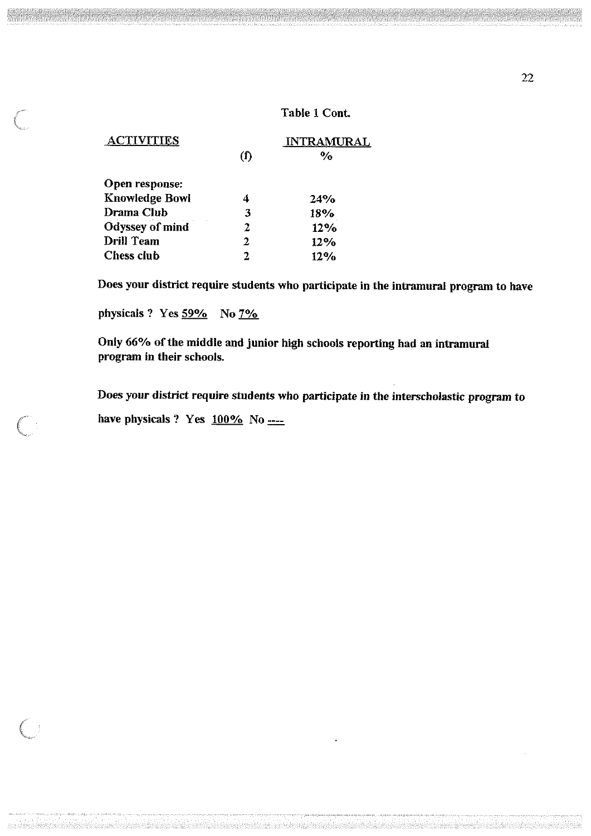### Table 1 Cont.

| <u>ACTIVITIES</u>     |     | <b>INTRAMURAL</b> |
|-----------------------|-----|-------------------|
|                       | (1) | $\%$              |
| Open response:        |     |                   |
| <b>Knowledge Bowl</b> | 4   | 24%               |
| Drama Club            | 3   | 18%               |
| Odyssey of mind       | 2   | 12%               |
| <b>Drill Team</b>     | 2   | 12%               |
| Chess club            | 7.  | 12%               |

Does your district require students who participate in the intramural program to have

physicals ? Yes 59% No 7%

Only 66°/o of the middle and junior high schools reporting had an intramural program in their schools.

Does your district require students who participate in the interscholastic program to have physicals ? Yes  $100\%$  No  $\frac{100\%}{100\%}$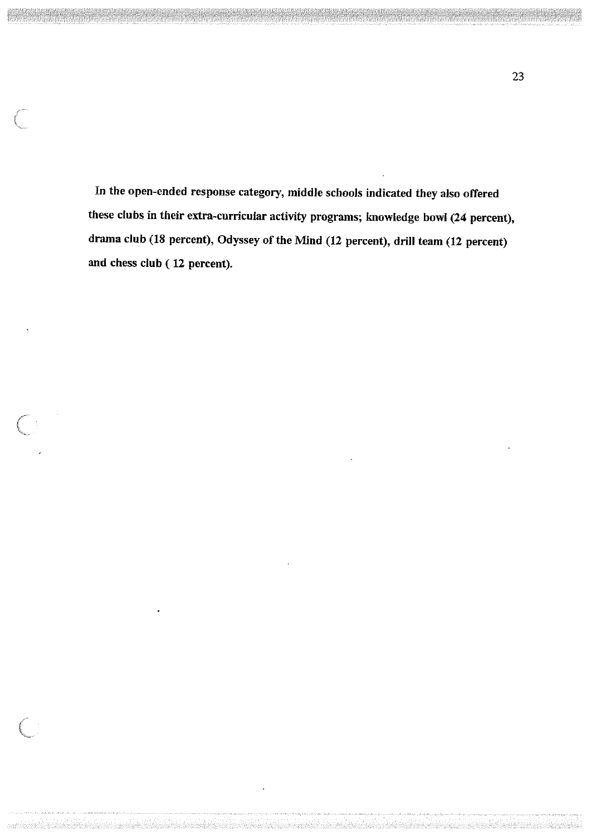In the open-ended response category, middle schools indicated they also offered these clubs in their extra-curricular activity programs; knowledge bowl (24 percent), drama club (18 percent), Odyssey of the Mind (12 percent), drill team (12 percent) and chess club ( 12 percent).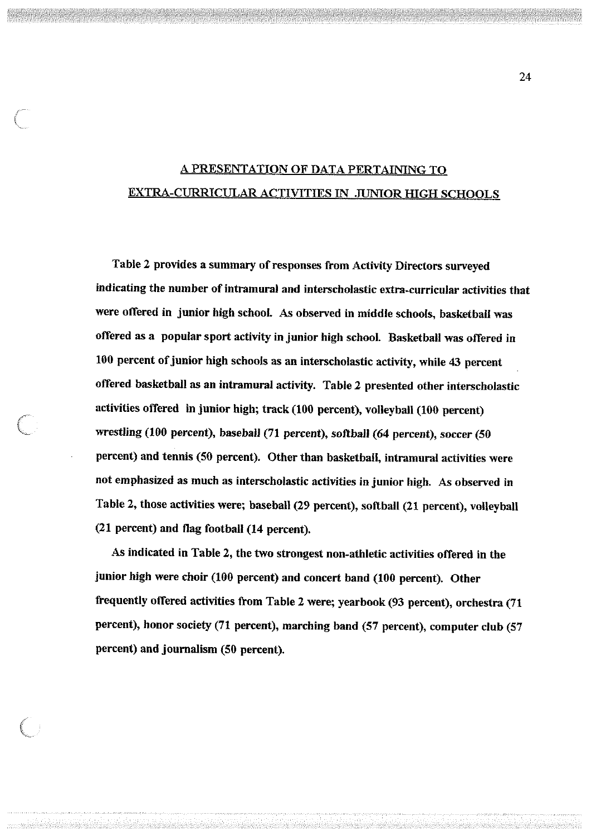## A PRESENTATION OF DATA PERTAINING TO EXTRA-CURRICULAR ACTIVITIES IN ,JUNIOR HIGH SCHOOLS

Table 2 provides a summary of responses from Activity Directors surveyed indicating the number of intramural and interscholastic extra-curricular activities that were offered in junior high school. As observed in middle schools, basketball was offered as a popular sport activity in junior high school. Basketball was offered in 100 percent of junior high schools as an interscholastic activity, while 43 percent offered basketball as an intramural activity. Table 2 prestmted other interscholastic activities offered in junior high; track (100 percent), volleyball (100 percent) wrestling (100 percent), baseball (71 percent), softball (64 percent), soccer (50 percent) and tennis (50 percent). Other than basketball, intramural activities were not emphasized as much as interscholastic activities in junior high. As observed in Table 2, those activities were; baseball (29 percent), softball (21 percent), volleyball (21 percent) and flag football (14 percent).

As indicated in Table 2, the two strongest non-athletic activities offered in the junior high were choir (100 percent) and concert band (100 percent). Other frequently offered activities from Table 2 were; yearbook (93 percent), orchestra (71 percent), honor society (71 percent), marching band (57 percent), computer club (57 percent) and journalism (50 percent).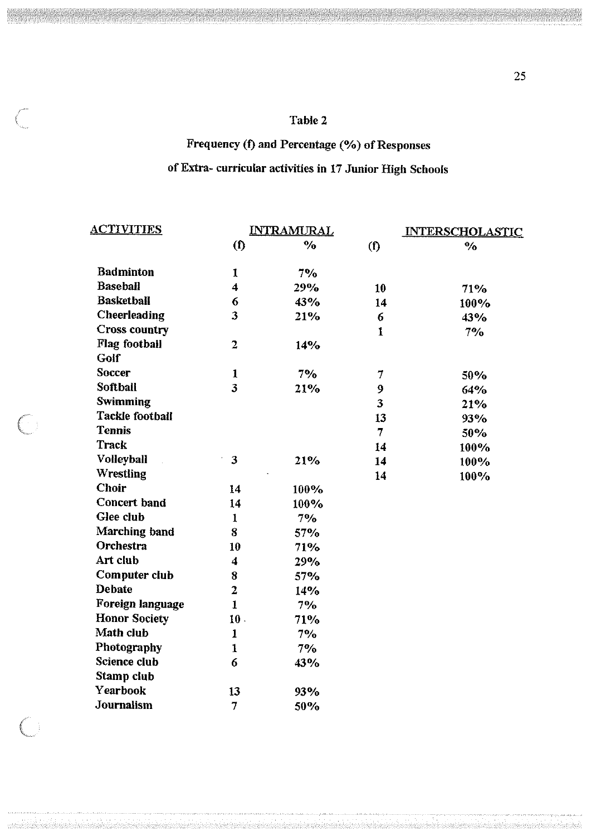## Table 2

# Frequency (f) and Percentage (%) of Responses

# of Extra- curricular activities in 17 Junior High Schools

| <b>ACTIVITIES</b>      | <u>INTRAMURAL</u>         |                    |                | <b>INTERSCHOLASTIC</b> |  |
|------------------------|---------------------------|--------------------|----------------|------------------------|--|
|                        | $\left( \text{f} \right)$ | $\frac{0}{\alpha}$ | (1)            | $\frac{1}{\sqrt{2}}$   |  |
| <b>Badminton</b>       | 1                         | $7\%$              |                |                        |  |
| <b>Baseball</b>        | 4                         | 29%                | 10             | 71%                    |  |
| <b>Basketball</b>      | 6                         | 43%                | 14             | 100%                   |  |
| Cheerleading           | 3                         | 21%                | 6              | 43%                    |  |
| <b>Cross country</b>   |                           |                    | $\mathbf{1}$   | 7%                     |  |
| Flag football          | $\overline{2}$            | 14%                |                |                        |  |
| Golf                   |                           |                    |                |                        |  |
| <b>Soccer</b>          | $\mathbf{1}$              | $7\%$              | 7              | 50%                    |  |
| <b>Softball</b>        | 3                         | 21%                | 9              | 64%                    |  |
| <b>Swimming</b>        |                           |                    | 3              | 21%                    |  |
| <b>Tackle football</b> |                           |                    | 13             | 93%                    |  |
| <b>Tennis</b>          |                           |                    | $\overline{7}$ | 50%                    |  |
| Track                  |                           |                    | 14             | 100%                   |  |
| <b>Volleyball</b>      | $\mathbf{3}$              | 21%                | 14             | 100%                   |  |
| <b>Wrestling</b>       |                           |                    | 14             | 100%                   |  |
| <b>Choir</b>           | 14                        | 100%               |                |                        |  |
| <b>Concert band</b>    | 14                        | 100%               |                |                        |  |
| Glee club              | $\mathbf{1}$              | $7\%$              |                |                        |  |
| Marching band          | 8                         | 57%                |                |                        |  |
| Orchestra              | 10                        | 71%                |                |                        |  |
| Art club               | $\boldsymbol{4}$          | 29%                |                |                        |  |
| Computer club          | 8                         | 57%                |                |                        |  |
| <b>Debate</b>          | $\overline{2}$            | 14%                |                |                        |  |
| Foreign language       | $\mathbf{1}$              | $7\%$              |                |                        |  |
| <b>Honor Society</b>   | $10$ .                    | 71%                |                |                        |  |
| Math club              | $\mathbf{1}$              | 70/6               |                |                        |  |
| Photography            | $\mathbf{1}$              | 7%                 |                |                        |  |
| Science club           | 6                         | 43%                |                |                        |  |
| Stamp club             |                           |                    |                |                        |  |
| Yearbook               | 13                        | 93%                |                |                        |  |
| Journalism             | $\overline{7}$            | 50%                |                |                        |  |

 $\bigcirc$ 

 $\begin{pmatrix} 1 & 1 \\ 1 & 1 \end{pmatrix}$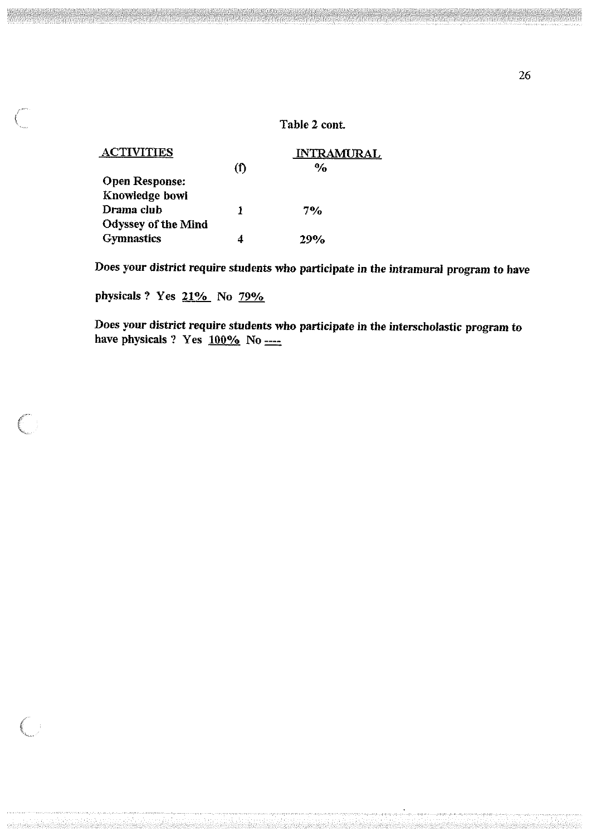## Table 2 cont.

| <b>ACTIVITIES</b>          |     | <b>INTRAMURAL</b> |  |  |
|----------------------------|-----|-------------------|--|--|
|                            | (f) | $\frac{6}{6}$     |  |  |
| <b>Open Response:</b>      |     |                   |  |  |
| Knowledge bowl             |     |                   |  |  |
| Drama club                 |     | 7%                |  |  |
| <b>Odyssey of the Mind</b> |     |                   |  |  |
| <b>Gymnastics</b>          |     | 700/              |  |  |

Does your district require students who participate in the intramural program to have

physicals? Yes 21% No 79%

Does your district require students who participate in the interscholastic program to have physicals ? Yes  $\frac{100\%}{100}$  No  $\frac{100\%}{100}$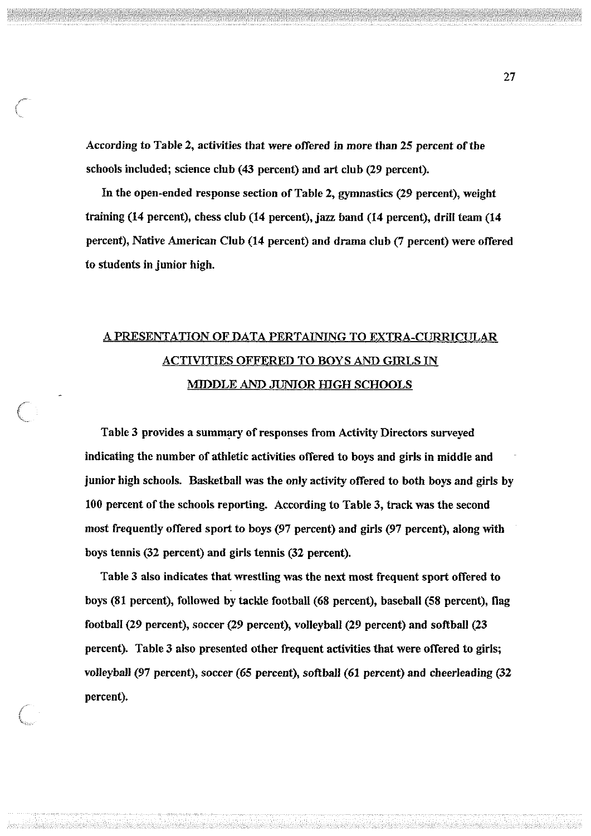According to Table 2, activities that were offered in more than 25 percent of the schools included; science club (43 percent) and art club (29 percent).

In the open-ended response section of Table 2, gymnastics (29 percent), weight training (14 percent), chess club (14 percent), jazz band (14 percent), drill team (14 percent), Native American Club (14 percent) and drama club (7 percent) were offered to students in junior high.

# A PRESENTATION OF DATA PERTAINING TO EXTRA-CURRICULAR ACTIVITIES OFFERED TO BOYS AND GIRLS IN MIDDLE AND JUNIOR HIGH SCHOOLS

Table 3 provides a summary of responses from Activity Directors surveyed indicating the number of athletic activities offered to boys and girls in middle and junior high schools. Basketball was the only activity offered to both boys and girls by 100 percent of the schools reporting. According to Table 3, track was the second most frequently offered sport to boys (97 percent) and girls (97 percent), along with boys tennis (32 percent) and girls tennis (32 percent).

Table 3 also indicates that wrestling was the next most frequent sport offered to boys (81 percent), followed by tackle football (68 percent), baseball (58 percent), flag football (29 percent), soccer (29 percent), volleyball (29 percent) and softball (23 percent). Table 3 also presented other frequent activities that were offered to girls; volleyball (97 percent), soccer (65 percent), softball (61 percent) and cheerleading (32 percent).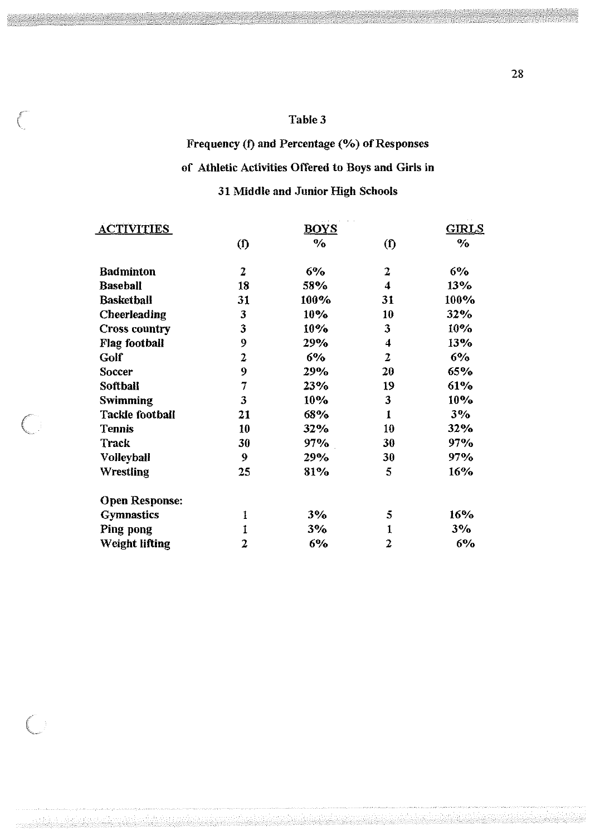## Table 3

# Frequency (f) and Percentage (%) of Responses of Athletic Activities Offered to Boys and Girls in 31 Middle and Junior High Schools

| <b>ACTIVITIES</b>      |                | <u>GIRLS</u> |                         |       |
|------------------------|----------------|--------------|-------------------------|-------|
|                        | $\bf{(f)}$     | $\%$         | $($ f $)$               | $\%$  |
| <b>Badminton</b>       | 2              | 6%           | $\overline{z}$          | 6%    |
| <b>Baseball</b>        | 18             | 58%          | $\overline{\mathbf{4}}$ | 13%   |
| <b>Basketball</b>      | 31             | 100%         | 31                      | 100%  |
| <b>Cheerleading</b>    | 3              | $10\%$       | 10                      | 32%   |
| <b>Cross country</b>   | 3              | 10%          | 3                       | 10%   |
| <b>Flag football</b>   | 9              | 29%          | 4                       | 13%   |
| Golf                   | $\overline{2}$ | 6%           | $\overline{2}$          | $6\%$ |
| Soccer                 | 9              | 29%          | 20                      | 65%   |
| Softball               | $\overline{7}$ | 23%          | 19                      | 61%   |
| <b>Swimming</b>        | 3              | 10%          | 3                       | 10%   |
| <b>Tackle football</b> | 21             | 68%          | $\mathbf{1}$            | 3%    |
| <b>Tennis</b>          | 10             | 32%          | 10                      | 32%   |
| Track                  | 30             | 97%          | 30                      | 97%   |
| Volleyball             | 9              | 29%          | 30                      | 97%   |
| Wrestling              | 25             | 81%          | 5                       | 16%   |
| <b>Open Response:</b>  |                |              |                         |       |
| <b>Gymnastics</b>      | $\mathbf{1}$   | 3%           | 5                       | 16%   |
| Ping pong              | $\mathbf{1}$   | 3%           | $\mathbf{1}$            | 3%    |
| <b>Weight lifting</b>  | 2              | 6%           | 2                       | 6%    |

de de la composició de la composició de la composició de la composició de la composició de la composició de la

 $\left($ 

 $\big($ 

28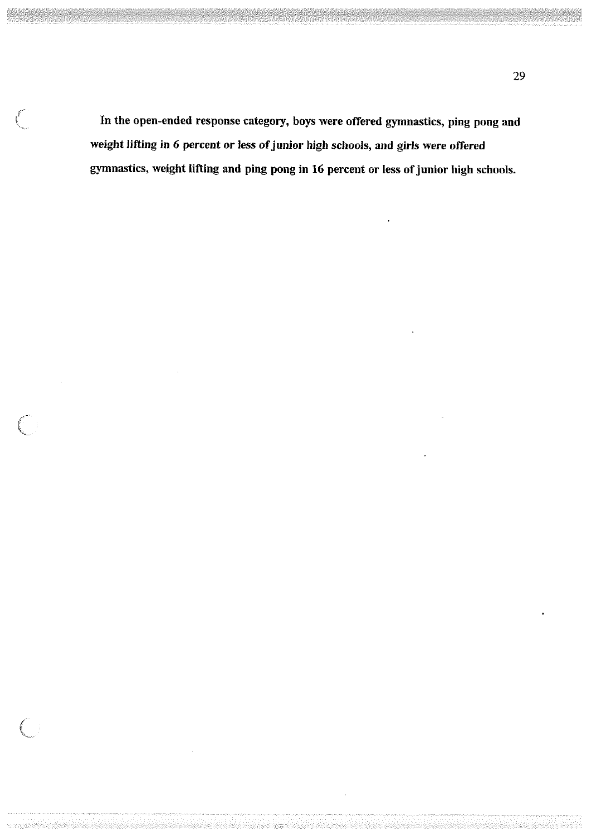In the open-ended response category, boys were offered gymnastics, ping pong and weight lifting in 6 percent or less of junior high schools, and girls were offered gymnastics, weight lifting and ping pong in 16 percent or less of junior high schools.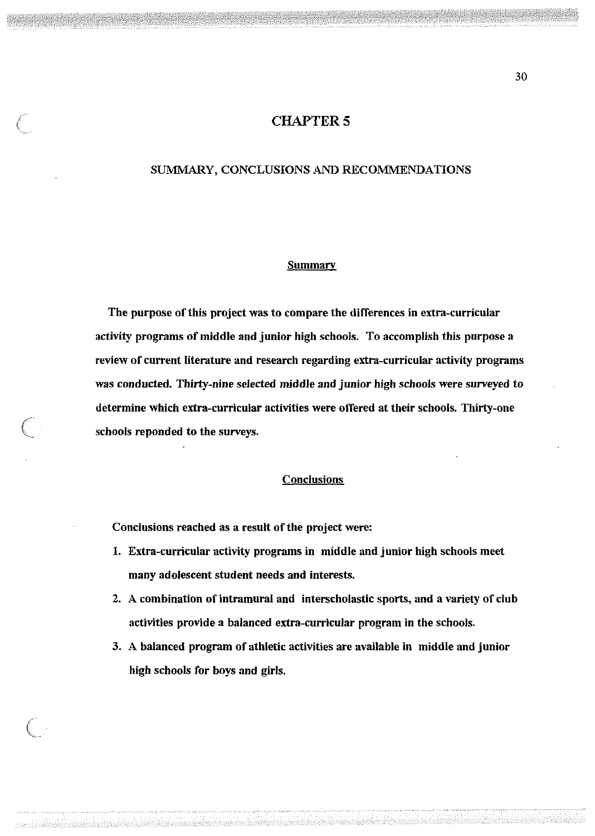## **CHAPTER 5**

### SUMMARY, CONCLUSIONS AND RECOMMENDATIONS

### Summary

The purpose of this project was to compare the differences in extra-curricular activity programs of middle and junior high schools. To accomplish this purpose a review of current literature and research regarding extra-curricular activity programs was conducted. Thirty-nine selected middle and junior high schools were surveyed to determine which extra-curricular activities were offered at their schools. Thirty-one schools reponded to the surveys.

### **Conclusions**

Conclusions reached as a result of the project were:

- 1. Extra-curricular activity programs in middle and junior high schools meet many adolescent student needs and interests.
- 2. A combination of intramural and interscholastic sports, and a variety of club activities provide a balanced extra-curricular program in the schools.
- 3. A balanced program of athletic activities are available in middle and junior high schools for boys and girls.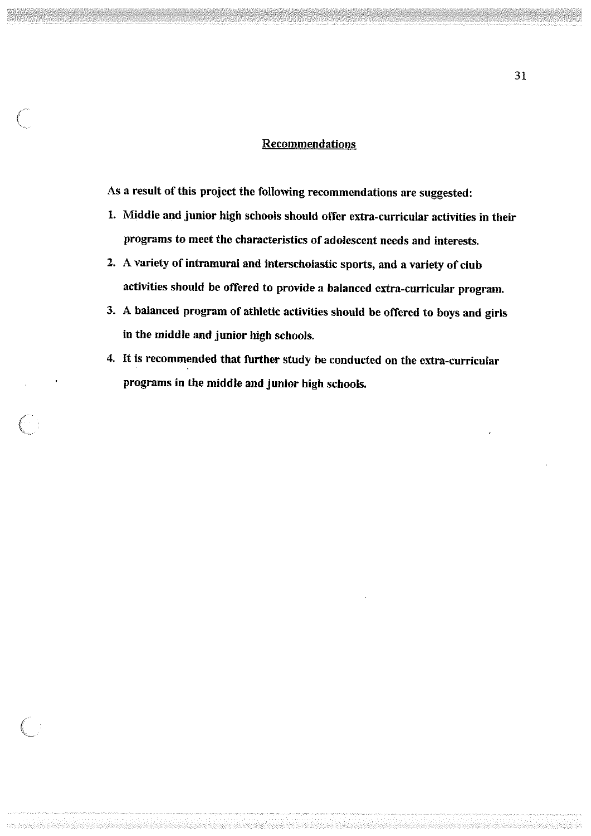### Recommendations

As a result of this project the following recommendations are suggested:

- 1. Middle and junior high schools should offer extra-curricular activities in their programs to meet the characteristics of adolescent needs and interests.
- 2. A variety of intramural and interscholastic sports, and a variety of club activities should be offered to provide a balanced extra-curricular program.
- 3. A balanced program of athletic activities should be offered to boys and girls in the middle and junior high schools.
- 4. It is recommended that further study be conducted on the extra-curricular programs in the middle and junior high schools.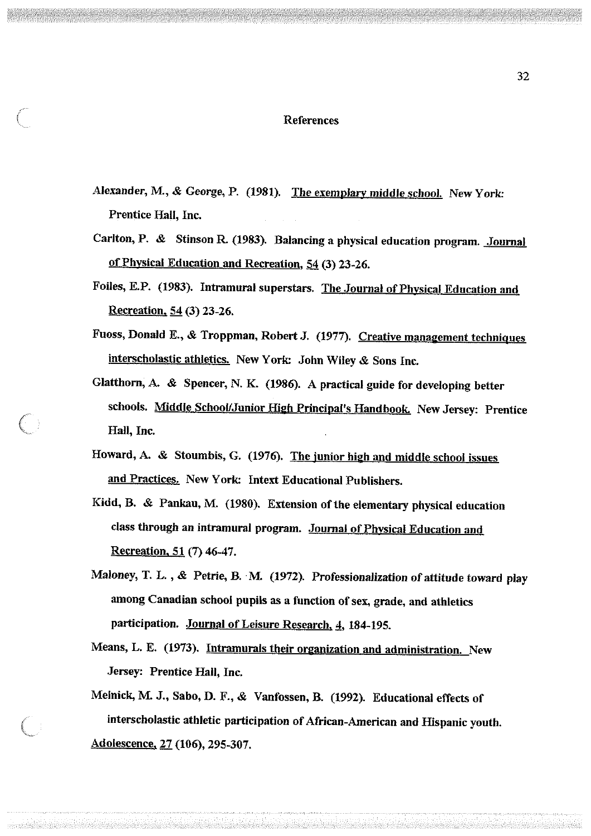#### References

- Alexander, M., & George, P. (1981). The exemplary middle school. New York: Prentice Hall, Inc.
- Carlton, P. & Stinson R. (1983). Balancing a physical education program. Journal of Physical Education and Recreation, 54 (3) 23-26.
- Foiles, E.P. (1983). Intramural superstars. The Journal of Physical Education and Recreation. 54 (3) 23-26.
- Fuoss, Donald E., & Troppman, Robert J. (1977). Creative management techniques interscholastic athletics. New York: John Wiley & Sons Inc.
- Glatthorn, A. & Spencer, N. K. (1986). A practical guide for developing better schools. Middle School/Junior High Principal's Handbook. New Jersey: Prentice Hall, Inc.
- Howard, A. & Stoumbis, G. (1976). The junior high and middle school issues and Practices. New York: Intext Educational Publishers.
- Kidd, B. & Pankau, M. (1980). Extension of the elementary physical education class through an intramural program. Journal of Physical Education and Recreation. 51 (7) 46-47.
- Maloney, T. L., & Petrie, B. M. (1972). Professionalization of attitude toward play among Canadian school pupils as a function of sex, grade, and athletics participation. Journal of Leisure Research, 4, 184-195.
- Means, L. E. (1973). Intramurals their organization and administration. New Jersey: Prentice Hall, Inc.
- Melnick, M J., Sabo, D. F., & Vanfossen, B. (1992). Educational effects of interscholastic athletic participation of African-American and Hispanic youth. Adolescence, 27 (106), 295-307.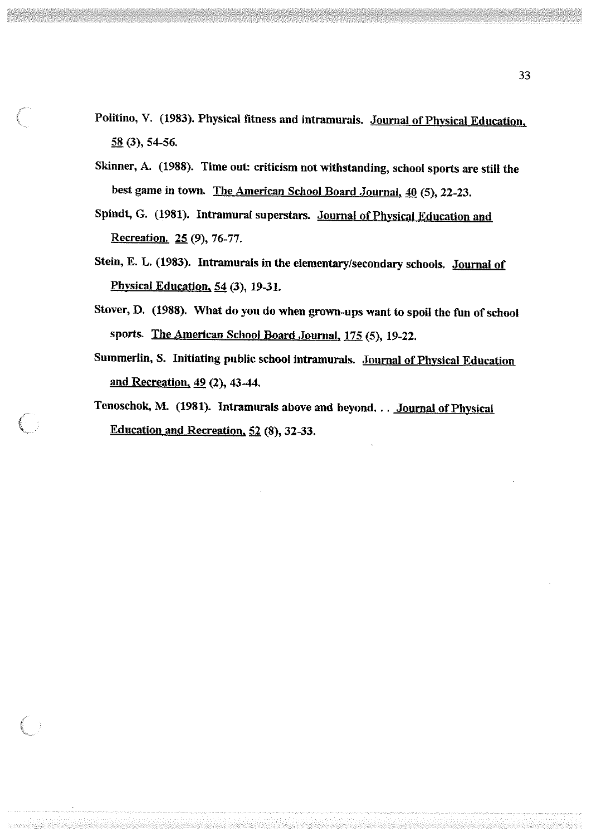- Politino, V. (1983). Physical fitness and intramurals. Journal of Physical Education, 58 (3), 54-56.
- Skinner, A. (1988). Time out: criticism not withstanding, school sports are still the best game in town. The American School Board .Journal, 40 (5), 22-23.
- Spindt, G. (1981). Intramural superstars. Journal of Physical Education and Recreation. 25 (9), 76-77.
- Stein, E. L. (1983). Intramurals in the elementary/secondary schools. Journal of Phvsical Education, 54 (3), 19-31.
- Stover, D. (1988). What do you do when grown-ups want to spoil the fun of school sports. The American School Board Journal, 175 (5), 19-22.
- Summerlin, S. Initiating public school intramurals. Journal of Physical Education and Recreation, 49 (2), 43-44.
- Tenoschok, M. (1981). Intramurals above and beyond. . . Journal of Physical Education and Recreation, 52 (8), 32-33.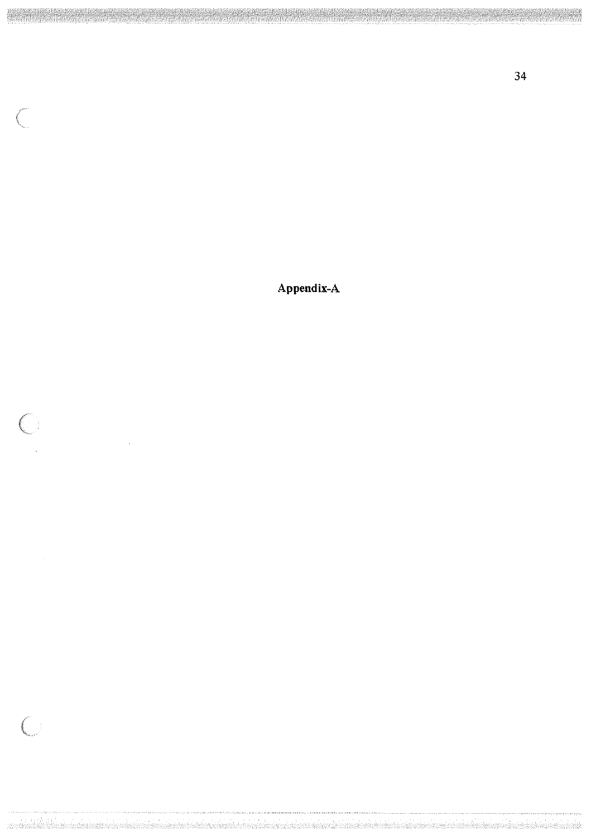**Appendix-A** 

 $\left($ 

 $\bigcirc$ 

 $\bigl(\bigl(\begin{array}{c} 0 \end{array}\bigr)$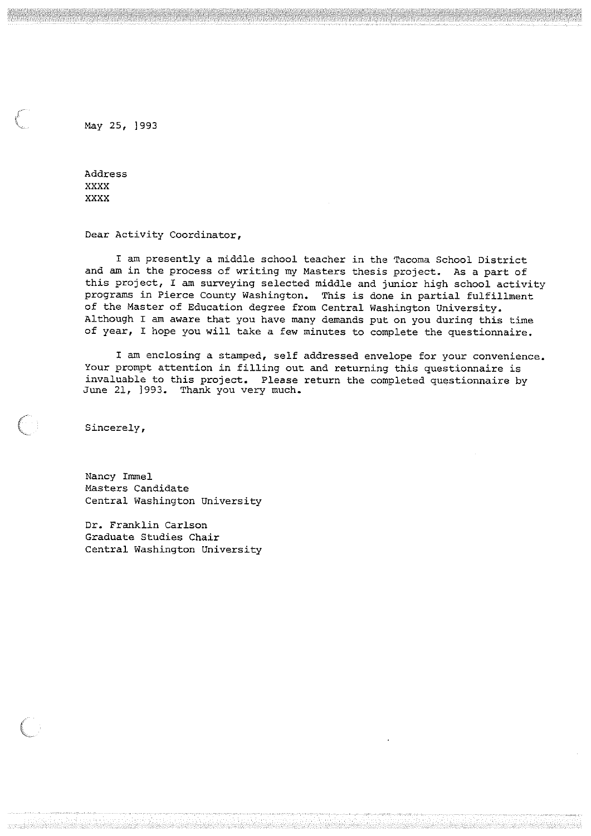May 25, 1993

Address **xxxx xxxx** 

**Dear Activity Coordinator,** 

I am presently a middle school teacher in the Tacoma School District and am in the process of writing my Masters thesis project. As a part of this project, I am surveying selected middle and junior high school activity programs in Pierce County Washington. This is done in partial fulfillment of the Master of Education degree from Central Washington University. Although I am aware that you have many demands put on you during this time of year, I hope you will take a few minutes to complete the questionnaire.

I am enclosing a stamped, self addressed envelope for your convenience. Your prompt attention in filling out and returning this questionnaire is invaluable to this project. Please return the completed questionnaire by June 21, ]993. Thank you very much.

**Sincerely,** 

 $\left(\begin{array}{c} \cdot \end{array}\right)$ 

Nancy Immel Masters Candidate Central Washington University

Dr. Franklin Carlson Graduate Studies Chair Central Washington University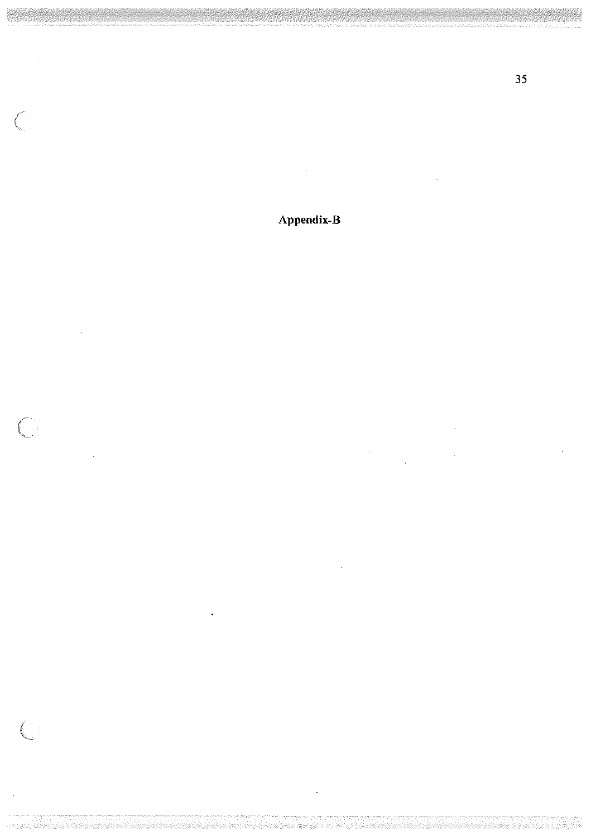**Appendix-B** 

 $\overline{\zeta}$ 

 $\big($ 

 $\bigl($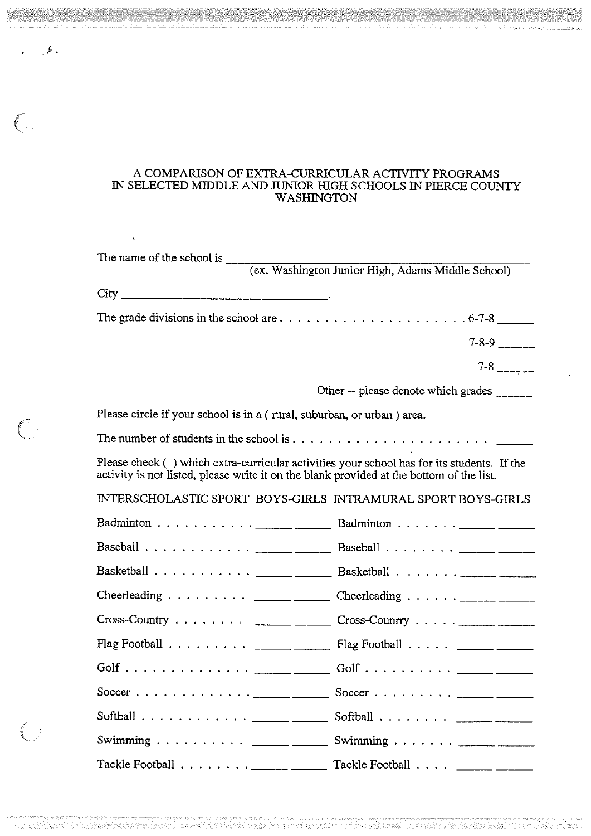### A COMPARISON OF EXTRA-CURRICULAR ACTIVITY PROGRAMS IN SELECTED MIDDLE AND JUNIOR HIGH SCHOOLS IN PIERCE COUNTY WASHINGTON

|                                                                                                                                                                                        | $7-8-9$ _______                            |
|----------------------------------------------------------------------------------------------------------------------------------------------------------------------------------------|--------------------------------------------|
|                                                                                                                                                                                        |                                            |
|                                                                                                                                                                                        | Other -- please denote which grades ______ |
| Please circle if your school is in a (rural, suburban, or urban) area.                                                                                                                 |                                            |
|                                                                                                                                                                                        |                                            |
| Please check () which extra-curricular activities your school has for its students. If the<br>activity is not listed, please write it on the blank provided at the bottom of the list. |                                            |
| INTERSCHOLASTIC SPORT BOYS-GIRLS INTRAMURAL SPORT BOYS-GIRLS                                                                                                                           |                                            |
| Badminton <u>.</u> Badminton <u>.</u>                                                                                                                                                  |                                            |
|                                                                                                                                                                                        |                                            |
|                                                                                                                                                                                        |                                            |
| Cheerleading <u>.</u> Cheerleading <u>.</u>                                                                                                                                            |                                            |
| $Cross-Country \dots \dots \dots$ ________ Cross-Country $\dots \dots$                                                                                                                 |                                            |
| Flag Football <u>_______</u> _________ Flag Football ______ ______                                                                                                                     |                                            |
|                                                                                                                                                                                        |                                            |
| Soccer <u>______</u> _______ Soccer <u>_____</u> _____                                                                                                                                 |                                            |
| Softball $\ldots \ldots \ldots \ldots \ldots$                                                                                                                                          | Softball $\ldots \ldots \ldots$            |
| Swimming $\frac{1}{2}$ Swimming $\frac{1}{2}$                                                                                                                                          |                                            |
| Tackle Football $\ldots \ldots \ldots$                                                                                                                                                 |                                            |

 $\sqrt{2}$ 

 $\bigcirc$ 

 $\left( \begin{array}{c} 1 \end{array} \right)$